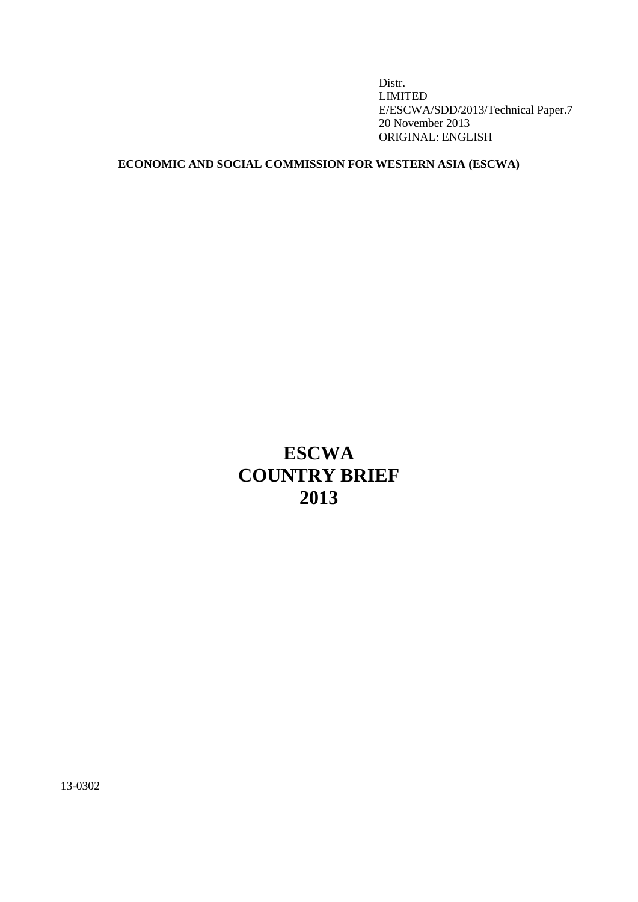Distr. LIMITED E/ESCWA/SDD/2013/Technical Paper.7 20 November 2013 ORIGINAL: ENGLISH

## **ECONOMIC AND SOCIAL COMMISSION FOR WESTERN ASIA (ESCWA)**

# **ESCWA COUNTRY BRIEF 2013**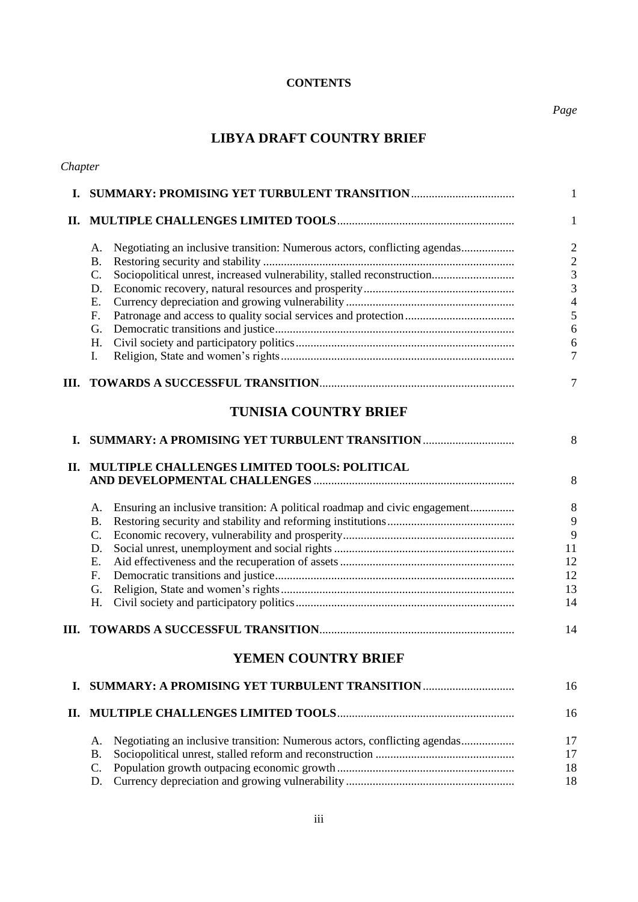## **CONTENTS**

## **LIBYA DRAFT COUNTRY BRIEF**

| Chapter |                                                                                          |                |
|---------|------------------------------------------------------------------------------------------|----------------|
| L.      |                                                                                          | 1              |
| П.      |                                                                                          | $\mathbf{1}$   |
|         | Negotiating an inclusive transition: Numerous actors, conflicting agendas<br>A.          | $\overline{2}$ |
|         | <b>B.</b>                                                                                | $\overline{c}$ |
|         | Sociopolitical unrest, increased vulnerability, stalled reconstruction<br>$\mathbf{C}$ . | 3              |
|         | D.                                                                                       | $\overline{3}$ |
|         | Е.                                                                                       | $\overline{4}$ |
|         | F.                                                                                       | 5              |
|         | G.                                                                                       | 6              |
|         | H.                                                                                       | 6              |
|         | Ι.                                                                                       | 7              |
| Ш.      |                                                                                          | 7              |
|         | <b>TUNISIA COUNTRY BRIEF</b>                                                             |                |
| L.      | SUMMARY: A PROMISING YET TURBULENT TRANSITION                                            | 8              |
| П.      | MULTIPLE CHALLENGES LIMITED TOOLS: POLITICAL                                             | 8              |
|         | Ensuring an inclusive transition: A political roadmap and civic engagement<br>A.         | 8              |
|         | <b>B.</b>                                                                                | 9              |
|         | $C_{\cdot}$                                                                              | 9              |
|         | D.                                                                                       | 11             |
|         | E.                                                                                       | 12             |
|         | F <sub>r</sub>                                                                           | 12             |
|         | G.                                                                                       | 13             |
|         | Н.                                                                                       | 14             |
| Ш.      |                                                                                          | 14             |
|         | <b>YEMEN COUNTRY BRIEF</b>                                                               |                |
| I.      |                                                                                          | 16             |
| П.      |                                                                                          | 16             |
|         | А.                                                                                       | 17             |
|         | <b>B.</b>                                                                                | 17             |
|         | C.                                                                                       | 18             |
|         | D.                                                                                       | 18             |
|         |                                                                                          |                |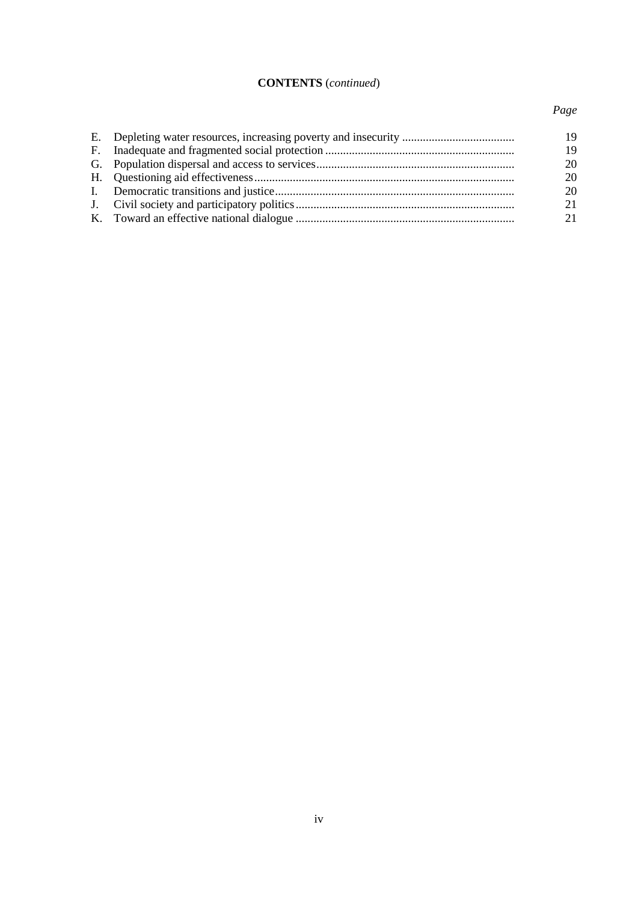## **CONTENTS** (*continued*)

## *Page*

|  | 19 |
|--|----|
|  | 19 |
|  | 20 |
|  | 20 |
|  | 20 |
|  | 21 |
|  | 21 |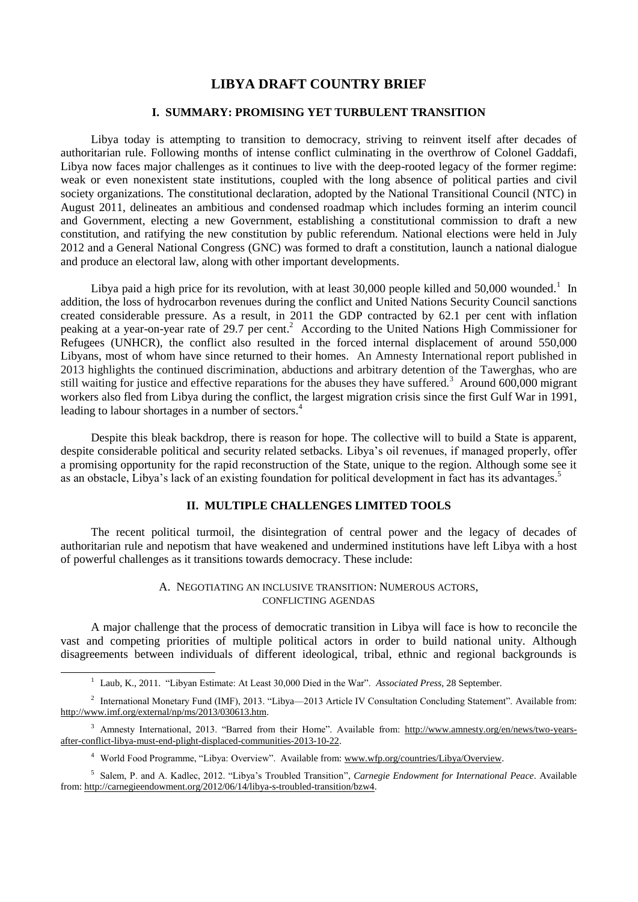## **LIBYA DRAFT COUNTRY BRIEF**

## **I. SUMMARY: PROMISING YET TURBULENT TRANSITION**

Libya today is attempting to transition to democracy, striving to reinvent itself after decades of authoritarian rule. Following months of intense conflict culminating in the overthrow of Colonel Gaddafi, Libya now faces major challenges as it continues to live with the deep-rooted legacy of the former regime: weak or even nonexistent state institutions, coupled with the long absence of political parties and civil society organizations. The constitutional declaration, adopted by the National Transitional Council (NTC) in August 2011, delineates an ambitious and condensed roadmap which includes forming an interim council and Government, electing a new Government, establishing a constitutional commission to draft a new constitution, and ratifying the new constitution by public referendum. National elections were held in July 2012 and a General National Congress (GNC) was formed to draft a constitution, launch a national dialogue and produce an electoral law, along with other important developments.

Libya paid a high price for its revolution, with at least 30,000 people killed and 50,000 wounded.<sup>1</sup> In addition, the loss of hydrocarbon revenues during the conflict and United Nations Security Council sanctions created considerable pressure. As a result, in 2011 the GDP contracted by 62.1 per cent with inflation peaking at a year-on-year rate of 29.7 per cent.<sup>2</sup> According to the United Nations High Commissioner for Refugees (UNHCR), the conflict also resulted in the forced internal displacement of around 550,000 Libyans, most of whom have since returned to their homes. An Amnesty International report published in 2013 highlights the continued discrimination, abductions and arbitrary detention of the Tawerghas, who are still waiting for justice and effective reparations for the abuses they have suffered.<sup>3</sup> Around 600,000 migrant workers also fled from Libya during the conflict, the largest migration crisis since the first Gulf War in 1991, leading to labour shortages in a number of sectors.<sup>4</sup>

Despite this bleak backdrop, there is reason for hope. The collective will to build a State is apparent, despite considerable political and security related setbacks. Libya's oil revenues, if managed properly, offer a promising opportunity for the rapid reconstruction of the State, unique to the region. Although some see it as an obstacle, Libya's lack of an existing foundation for political development in fact has its advantages.<sup>5</sup>

## **II. MULTIPLE CHALLENGES LIMITED TOOLS**

The recent political turmoil, the disintegration of central power and the legacy of decades of authoritarian rule and nepotism that have weakened and undermined institutions have left Libya with a host of powerful challenges as it transitions towards democracy. These include:

#### A. NEGOTIATING AN INCLUSIVE TRANSITION: NUMEROUS ACTORS, CONFLICTING AGENDAS

A major challenge that the process of democratic transition in Libya will face is how to reconcile the vast and competing priorities of multiple political actors in order to build national unity. Although disagreements between individuals of different ideological, tribal, ethnic and regional backgrounds is

<sup>1</sup> Laub, K., 2011. "Libyan Estimate: At Least 30,000 Died in the War". *Associated Press*, 28 September.

<sup>&</sup>lt;sup>2</sup> International Monetary Fund (IMF), 2013. "Libya—2013 Article IV Consultation Concluding Statement". Available from: http://www.imf.org/external/np/ms/2013/030613.htm.

<sup>&</sup>lt;sup>3</sup> Amnesty International, 2013. "Barred from their Home". Available from: http://www.amnesty.org/en/news/two-yearsafter-conflict-libya-must-end-plight-displaced-communities-2013-10-22.

<sup>4</sup> World Food Programme, "Libya: Overview". Available from[: www.wfp.org/countries/Libya/Overview.](http://www.wfp.org/countries/Libya/Overview)

<sup>5</sup> Salem, P. and A. Kadlec, 2012. "Libya's Troubled Transition", *Carnegie Endowment for International Peace*. Available from: http://carnegieendowment.org/2012/06/14/libya-s-troubled-transition/bzw4.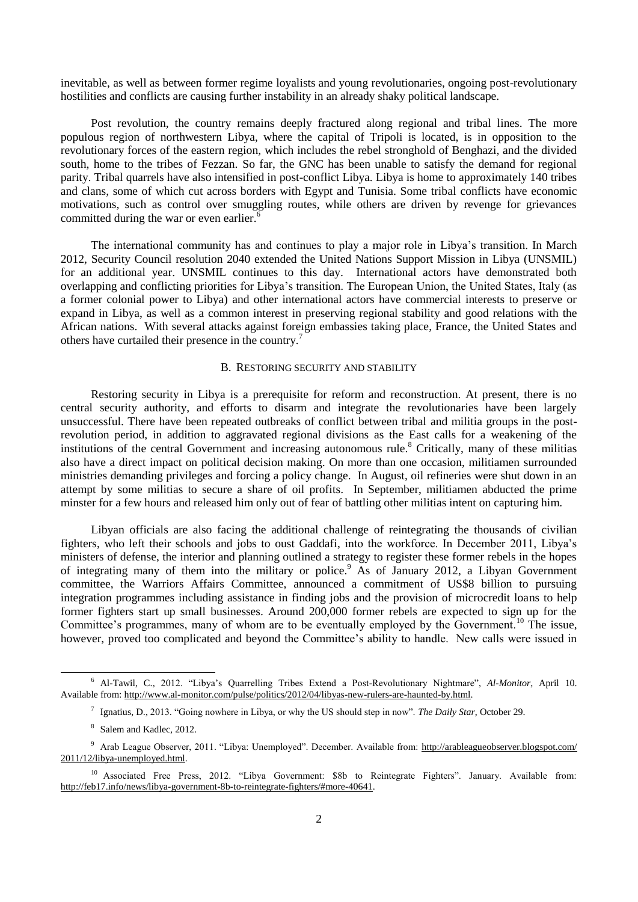inevitable, as well as between former regime loyalists and young revolutionaries, ongoing post-revolutionary hostilities and conflicts are causing further instability in an already shaky political landscape.

Post revolution, the country remains deeply fractured along regional and tribal lines. The more populous region of northwestern Libya, where the capital of Tripoli is located, is in opposition to the revolutionary forces of the eastern region, which includes the rebel stronghold of Benghazi, and the divided south, home to the tribes of Fezzan. So far, the GNC has been unable to satisfy the demand for regional parity. Tribal quarrels have also intensified in post-conflict Libya. Libya is home to approximately 140 tribes and clans, some of which cut across borders with Egypt and Tunisia. Some tribal conflicts have economic motivations, such as control over smuggling routes, while others are driven by revenge for grievances committed during the war or even earlier.<sup>6</sup>

The international community has and continues to play a major role in Libya's transition. In March 2012, Security Council resolution 2040 extended the United Nations Support Mission in Libya (UNSMIL) for an additional year. UNSMIL continues to this day. International actors have demonstrated both overlapping and conflicting priorities for Libya's transition. The European Union, the United States, Italy (as a former colonial power to Libya) and other international actors have commercial interests to preserve or expand in Libya, as well as a common interest in preserving regional stability and good relations with the African nations. With several attacks against foreign embassies taking place, France, the United States and others have curtailed their presence in the country.<sup>7</sup>

#### B. RESTORING SECURITY AND STABILITY

Restoring security in Libya is a prerequisite for reform and reconstruction. At present, there is no central security authority, and efforts to disarm and integrate the revolutionaries have been largely unsuccessful. There have been repeated outbreaks of conflict between tribal and militia groups in the postrevolution period, in addition to aggravated regional divisions as the East calls for a weakening of the institutions of the central Government and increasing autonomous rule.<sup>8</sup> Critically, many of these militias also have a direct impact on political decision making. On more than one occasion, militiamen surrounded ministries demanding privileges and forcing a policy change. In August, oil refineries were shut down in an attempt by some militias to secure a share of oil profits. In September, militiamen abducted the prime minster for a few hours and released him only out of fear of battling other militias intent on capturing him.

Libyan officials are also facing the additional challenge of reintegrating the thousands of civilian fighters, who left their schools and jobs to oust Gaddafi, into the workforce. In December 2011, Libya's ministers of defense, the interior and planning outlined a strategy to register these former rebels in the hopes of integrating many of them into the military or police.<sup>9</sup> As of January 2012, a Libyan Government committee, the Warriors Affairs Committee, announced a commitment of US\$8 billion to pursuing integration programmes including assistance in finding jobs and the provision of microcredit loans to help former fighters start up small businesses. Around 200,000 former rebels are expected to sign up for the Committee's programmes, many of whom are to be eventually employed by the Government.<sup>10</sup> The issue, however, proved too complicated and beyond the Committee's ability to handle. New calls were issued in

<sup>6</sup> Al-Tawil, C., 2012. "Libya's Quarrelling Tribes Extend a Post-Revolutionary Nightmare", *Al-Monitor*, April 10. Available from: http://www.al-monitor.com/pulse/politics/2012/04/libyas-new-rulers-are-haunted-by.html.

<sup>7</sup> Ignatius, D., 2013. "Going nowhere in Libya, or why the US should step in now". *The Daily Star*, October 29.

<sup>&</sup>lt;sup>8</sup> Salem and Kadlec, 2012.

<sup>9</sup> Arab League Observer, 2011. "Libya: Unemployed". December. Available from: http://arableagueobserver.blogspot.com/ 2011/12/libya-unemployed.html.

<sup>&</sup>lt;sup>10</sup> Associated Free Press, 2012. "Libya Government: \$8b to Reintegrate Fighters". January. Available from: http://feb17.info/news/libya-government-8b-to-reintegrate-fighters/#more-40641.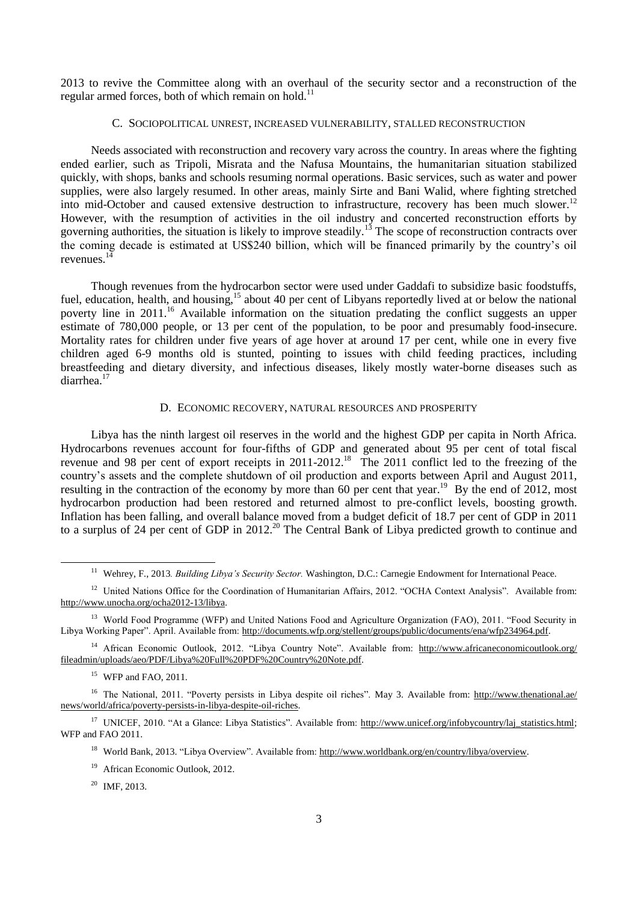2013 to revive the Committee along with an overhaul of the security sector and a reconstruction of the regular armed forces, both of which remain on hold.<sup>11</sup>

### C. SOCIOPOLITICAL UNREST, INCREASED VULNERABILITY, STALLED RECONSTRUCTION

Needs associated with reconstruction and recovery vary across the country. In areas where the fighting ended earlier, such as Tripoli, Misrata and the Nafusa Mountains, the humanitarian situation stabilized quickly, with shops, banks and schools resuming normal operations. Basic services, such as water and power supplies, were also largely resumed. In other areas, mainly Sirte and Bani Walid, where fighting stretched into mid-October and caused extensive destruction to infrastructure, recovery has been much slower.<sup>12</sup> However, with the resumption of activities in the oil industry and concerted reconstruction efforts by governing authorities, the situation is likely to improve steadily.<sup>13</sup> The scope of reconstruction contracts over the coming decade is estimated at US\$240 billion, which will be financed primarily by the country's oil revenues. $14$ 

Though revenues from the hydrocarbon sector were used under Gaddafi to subsidize basic foodstuffs, fuel, education, health, and housing,<sup>15</sup> about 40 per cent of Libyans reportedly lived at or below the national poverty line in 2011.<sup>16</sup> Available information on the situation predating the conflict suggests an upper estimate of 780,000 people, or 13 per cent of the population, to be poor and presumably food-insecure. Mortality rates for children under five years of age hover at around 17 per cent, while one in every five children aged 6-9 months old is stunted, pointing to issues with child feeding practices, including breastfeeding and dietary diversity, and infectious diseases, likely mostly water-borne diseases such as diarrhea.<sup>17</sup>

#### D. ECONOMIC RECOVERY, NATURAL RESOURCES AND PROSPERITY

Libya has the ninth largest oil reserves in the world and the highest GDP per capita in North Africa. Hydrocarbons revenues account for four-fifths of GDP and generated about 95 per cent of total fiscal revenue and 98 per cent of export receipts in 2011-2012.<sup>18</sup> The 2011 conflict led to the freezing of the country's assets and the complete shutdown of oil production and exports between April and August 2011, resulting in the contraction of the economy by more than 60 per cent that year.<sup>19</sup> By the end of 2012, most hydrocarbon production had been restored and returned almost to pre-conflict levels, boosting growth. Inflation has been falling, and overall balance moved from a budget deficit of 18.7 per cent of GDP in 2011 to a surplus of 24 per cent of GDP in 2012.<sup>20</sup> The Central Bank of Libya predicted growth to continue and

-

<sup>17</sup> UNICEF, 2010. "At a Glance: Libya Statistics". Available from: http://www.unicef.org/infobycountry/laj\_statistics.html; WFP and FAO 2011.

<sup>18</sup> World Bank, 2013. "Libya Overview". Available from: http://www.worldbank.org/en/country/libya/overview.

<sup>&</sup>lt;sup>11</sup> Wehrey, F., 2013. Building Libya's Security Sector. Washington, D.C.: Carnegie Endowment for International Peace.

<sup>&</sup>lt;sup>12</sup> United Nations Office for the Coordination of Humanitarian Affairs, 2012. "OCHA Context Analysis". Available from: [http://www.unocha.org/ocha2012-13/libya.](http://www.unocha.org/ocha2012-13/libya)

<sup>&</sup>lt;sup>13</sup> World Food Programme (WFP) and United Nations Food and Agriculture Organization (FAO), 2011. "Food Security in Libya Working Paper". April. Available from: [http://documents.wfp.org/stellent/groups/public/documents/ena/wfp234964.pdf.](http://documents.wfp.org/stellent/groups/public/documents/ena/wfp234964.pdf)

<sup>&</sup>lt;sup>14</sup> African Economic Outlook, 2012. "Libya Country Note". Available from: [http://www.africaneconomicoutlook.org/](http://www.africaneconomicoutlook.org/fileadmin/uploads/aeo/PDF/Libya%20Full%20PDF%20Country%20Note.pdf) [fileadmin/uploads/aeo/PDF/Libya%20Full%20PDF%20Country%20Note.pdf.](http://www.africaneconomicoutlook.org/fileadmin/uploads/aeo/PDF/Libya%20Full%20PDF%20Country%20Note.pdf)

 $15$  WFP and FAO, 2011.

<sup>&</sup>lt;sup>16</sup> The National, 2011. "Poverty persists in Libya despite oil riches". May 3. Available from: http://www.thenational.ae/ news/world/africa/poverty-persists-in-libya-despite-oil-riches.

<sup>&</sup>lt;sup>19</sup> African Economic Outlook, 2012.

 $20$  IMF, 2013.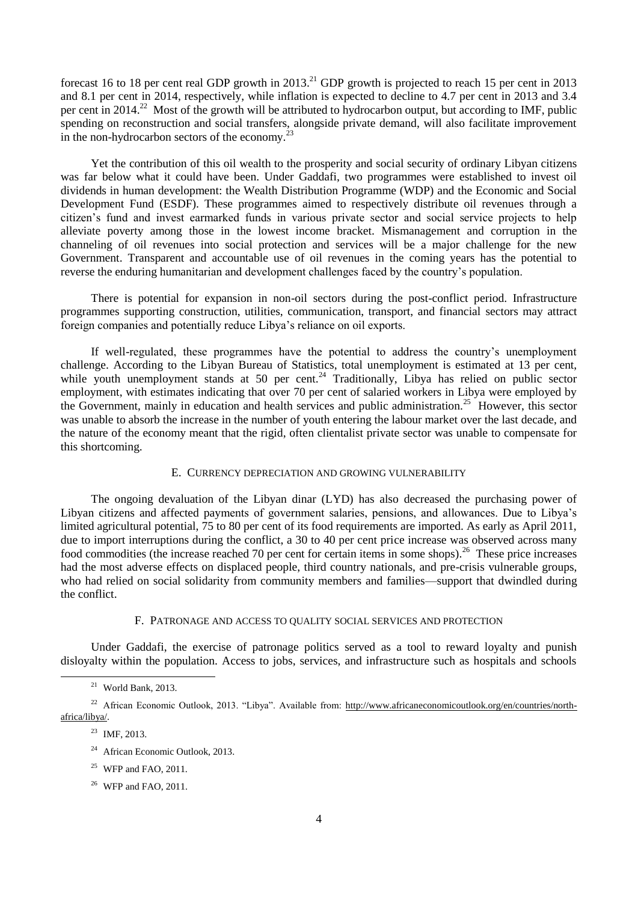forecast 16 to 18 per cent real GDP growth in  $2013$ <sup>21</sup> GDP growth is projected to reach 15 per cent in 2013 and 8.1 per cent in 2014, respectively, while inflation is expected to decline to 4.7 per cent in 2013 and 3.4 per cent in 2014.<sup>22</sup> Most of the growth will be attributed to hydrocarbon output, but according to IMF, public spending on reconstruction and social transfers, alongside private demand, will also facilitate improvement in the non-hydrocarbon sectors of the economy. $^{23}$ 

Yet the contribution of this oil wealth to the prosperity and social security of ordinary Libyan citizens was far below what it could have been. Under Gaddafi, two programmes were established to invest oil dividends in human development: the Wealth Distribution Programme (WDP) and the Economic and Social Development Fund (ESDF). These programmes aimed to respectively distribute oil revenues through a citizen's fund and invest earmarked funds in various private sector and social service projects to help alleviate poverty among those in the lowest income bracket. Mismanagement and corruption in the channeling of oil revenues into social protection and services will be a major challenge for the new Government. Transparent and accountable use of oil revenues in the coming years has the potential to reverse the enduring humanitarian and development challenges faced by the country's population.

There is potential for expansion in non-oil sectors during the post-conflict period. Infrastructure programmes supporting construction, utilities, communication, transport, and financial sectors may attract foreign companies and potentially reduce Libya's reliance on oil exports.

If well-regulated, these programmes have the potential to address the country's unemployment challenge. According to the Libyan Bureau of Statistics, total unemployment is estimated at 13 per cent, while youth unemployment stands at 50 per cent.<sup>24</sup> Traditionally, Libya has relied on public sector employment, with estimates indicating that over 70 per cent of salaried workers in Libya were employed by the Government, mainly in education and health services and public administration.<sup>25</sup> However, this sector was unable to absorb the increase in the number of youth entering the labour market over the last decade, and the nature of the economy meant that the rigid, often clientalist private sector was unable to compensate for this shortcoming.

#### E. CURRENCY DEPRECIATION AND GROWING VULNERABILITY

The ongoing devaluation of the Libyan dinar (LYD) has also decreased the purchasing power of Libyan citizens and affected payments of government salaries, pensions, and allowances. Due to Libya's limited agricultural potential, 75 to 80 per cent of its food requirements are imported. As early as April 2011, due to import interruptions during the conflict, a 30 to 40 per cent price increase was observed across many food commodities (the increase reached 70 per cent for certain items in some shops).<sup>26</sup> These price increases had the most adverse effects on displaced people, third country nationals, and pre-crisis vulnerable groups, who had relied on social solidarity from community members and families—support that dwindled during the conflict.

#### F. PATRONAGE AND ACCESS TO QUALITY SOCIAL SERVICES AND PROTECTION

Under Gaddafi, the exercise of patronage politics served as a tool to reward loyalty and punish disloyalty within the population. Access to jobs, services, and infrastructure such as hospitals and schools

 $21$  World Bank, 2013.

<sup>&</sup>lt;sup>22</sup> African Economic Outlook, 2013. "Libya". Available from: http://www.africaneconomicoutlook.org/en/countries/northafrica/libya/.

<sup>23</sup> IMF, 2013.

<sup>&</sup>lt;sup>24</sup> African Economic Outlook, 2013.

<sup>&</sup>lt;sup>25</sup> WFP and FAO, 2011.

<sup>26</sup> WFP and FAO, 2011.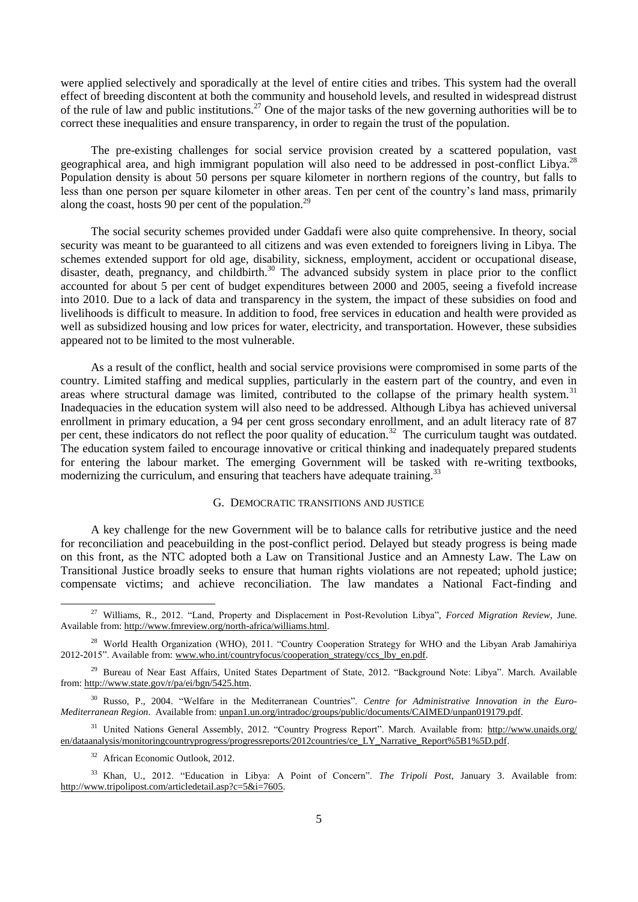were applied selectively and sporadically at the level of entire cities and tribes. This system had the overall effect of breeding discontent at both the community and household levels, and resulted in widespread distrust of the rule of law and public institutions.<sup>27</sup> One of the major tasks of the new governing authorities will be to correct these inequalities and ensure transparency, in order to regain the trust of the population.

The pre-existing challenges for social service provision created by a scattered population, vast geographical area, and high immigrant population will also need to be addressed in post-conflict Libya.<sup>28</sup> Population density is about 50 persons per square kilometer in northern regions of the country, but falls to less than one person per square kilometer in other areas. Ten per cent of the country's land mass, primarily along the coast, hosts  $90$  per cent of the population.<sup>29</sup>

The social security schemes provided under Gaddafi were also quite comprehensive. In theory, social security was meant to be guaranteed to all citizens and was even extended to foreigners living in Libya. The schemes extended support for old age, disability, sickness, employment, accident or occupational disease, disaster, death, pregnancy, and childbirth.<sup>30</sup> The advanced subsidy system in place prior to the conflict accounted for about 5 per cent of budget expenditures between 2000 and 2005, seeing a fivefold increase into 2010. Due to a lack of data and transparency in the system, the impact of these subsidies on food and livelihoods is difficult to measure. In addition to food, free services in education and health were provided as well as subsidized housing and low prices for water, electricity, and transportation. However, these subsidies appeared not to be limited to the most vulnerable.

As a result of the conflict, health and social service provisions were compromised in some parts of the country. Limited staffing and medical supplies, particularly in the eastern part of the country, and even in areas where structural damage was limited, contributed to the collapse of the primary health system.<sup>31</sup> Inadequacies in the education system will also need to be addressed. Although Libya has achieved universal enrollment in primary education, a 94 per cent gross secondary enrollment, and an adult literacy rate of 87 per cent, these indicators do not reflect the poor quality of education.<sup>32</sup> The curriculum taught was outdated. The education system failed to encourage innovative or critical thinking and inadequately prepared students for entering the labour market. The emerging Government will be tasked with re-writing textbooks, modernizing the curriculum, and ensuring that teachers have adequate training.<sup>33</sup>

## G. DEMOCRATIC TRANSITIONS AND JUSTICE

A key challenge for the new Government will be to balance calls for retributive justice and the need for reconciliation and peacebuilding in the post-conflict period. Delayed but steady progress is being made on this front, as the NTC adopted both a Law on Transitional Justice and an Amnesty Law. The Law on Transitional Justice broadly seeks to ensure that human rights violations are not repeated; uphold justice; compensate victims; and achieve reconciliation. The law mandates a National Fact-finding and

<sup>31</sup> United Nations General Assembly, 2012. "Country Progress Report". March. Available from: [http://www.unaids.org/](http://www.unaids.org/en/dataanalysis/monitoringcountryprogress/progressreports/2012countries/ce_LY_Narrative_Report%5B1%5D.pdf) [en/dataanalysis/monitoringcountryprogress/progressreports/2012countries/ce\\_LY\\_Narrative\\_Report%5B1%5D.pdf.](http://www.unaids.org/en/dataanalysis/monitoringcountryprogress/progressreports/2012countries/ce_LY_Narrative_Report%5B1%5D.pdf)

<sup>32</sup> African Economic Outlook, 2012.

<u>.</u>

<sup>33</sup> Khan, U., 2012. "Education in Libya: A Point of Concern". *The Tripoli Post*, January 3. Available from: http://www.tripolipost.com/articledetail.asp?c=5&i=7605.

<sup>27</sup> Williams, R., 2012. "Land, Property and Displacement in Post-Revolution Libya", *Forced Migration Review,* June. Available from: [http://www.fmreview.org/north-africa/williams.html.](http://www.fmreview.org/north-africa/williams.html)

<sup>&</sup>lt;sup>28</sup> World Health Organization (WHO), 2011. "Country Cooperation Strategy for WHO and the Libyan Arab Jamahiriya 2012-2015". Available from[: www.who.int/countryfocus/cooperation\\_strategy/ccs\\_lby\\_en.pdf.](http://www.who.int/countryfocus/cooperation_strategy/ccs_lby_en.pdf)

<sup>&</sup>lt;sup>29</sup> Bureau of Near East Affairs, United States Department of State, 2012. "Background Note: Libya". March. Available from: http://www.state.gov/r/pa/ei/bgn/5425.htm.

<sup>30</sup> Russo, P., 2004. "Welfare in the Mediterranean Countries". *Centre for Administrative Innovation in the Euro-Mediterranean Region*. Available from: unpan1.un.org/intradoc/groups/public/documents/CAIMED/unpan019179.pdf.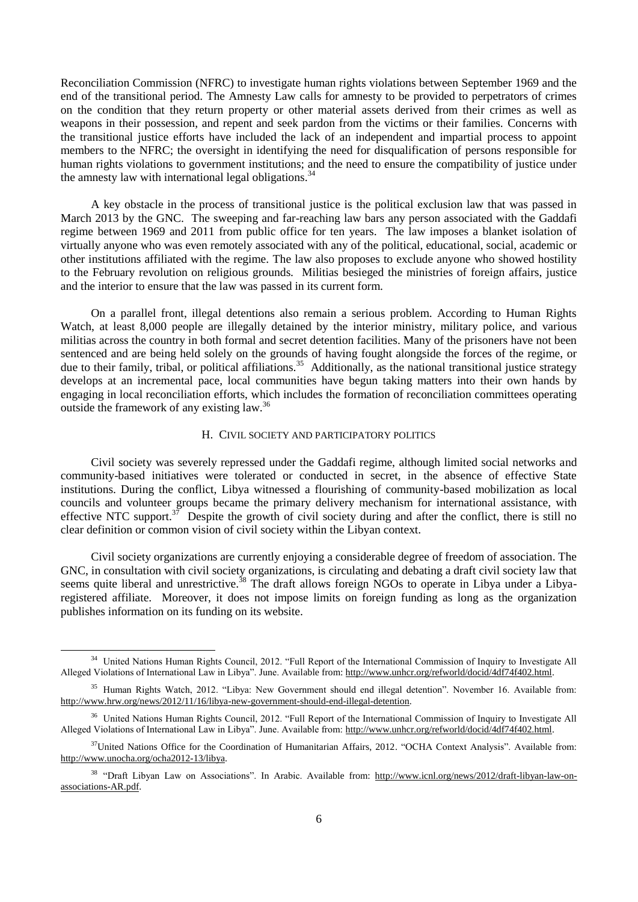Reconciliation Commission (NFRC) to investigate human rights violations between September 1969 and the end of the transitional period. The Amnesty Law calls for amnesty to be provided to perpetrators of crimes on the condition that they return property or other material assets derived from their crimes as well as weapons in their possession, and repent and seek pardon from the victims or their families. Concerns with the transitional justice efforts have included the lack of an independent and impartial process to appoint members to the NFRC; the oversight in identifying the need for disqualification of persons responsible for human rights violations to government institutions; and the need to ensure the compatibility of justice under the amnesty law with international legal obligations. $34$ 

A key obstacle in the process of transitional justice is the political exclusion law that was passed in March 2013 by the GNC. The sweeping and far-reaching law bars any person associated with the Gaddafi regime between 1969 and 2011 from public office for ten years. The law imposes a blanket isolation of virtually anyone who was even remotely associated with any of the political, educational, social, academic or other institutions affiliated with the regime. The law also proposes to exclude anyone who showed hostility to the February revolution on religious grounds. Militias besieged the ministries of foreign affairs, justice and the interior to ensure that the law was passed in its current form.

On a parallel front, illegal detentions also remain a serious problem. According to Human Rights Watch, at least 8,000 people are illegally detained by the interior ministry, military police, and various militias across the country in both formal and secret detention facilities. Many of the prisoners have not been sentenced and are being held solely on the grounds of having fought alongside the forces of the regime, or due to their family, tribal, or political affiliations.<sup>35</sup> Additionally, as the national transitional justice strategy develops at an incremental pace, local communities have begun taking matters into their own hands by engaging in local reconciliation efforts, which includes the formation of reconciliation committees operating outside the framework of any existing law.<sup>36</sup>

#### H. CIVIL SOCIETY AND PARTICIPATORY POLITICS

Civil society was severely repressed under the Gaddafi regime, although limited social networks and community-based initiatives were tolerated or conducted in secret, in the absence of effective State institutions. During the conflict, Libya witnessed a flourishing of community-based mobilization as local councils and volunteer groups became the primary delivery mechanism for international assistance, with effective NTC support.<sup>37</sup> Despite the growth of civil society during and after the conflict, there is still no clear definition or common vision of civil society within the Libyan context.

Civil society organizations are currently enjoying a considerable degree of freedom of association. The GNC, in consultation with civil society organizations, is circulating and debating a draft civil society law that seems quite liberal and unrestrictive.<sup>38</sup> The draft allows foreign NGOs to operate in Libya under a Libyaregistered affiliate. Moreover, it does not impose limits on foreign funding as long as the organization publishes information on its funding on its website.

<sup>&</sup>lt;sup>34</sup> United Nations Human Rights Council, 2012. "Full Report of the International Commission of Inquiry to Investigate All Alleged Violations of International Law in Libya". June. Available from: http://www.unhcr.org/refworld/docid/4df74f402.html.

<sup>35</sup> Human Rights Watch, 2012. "Libya: New Government should end illegal detention". November 16. Available from: http://www.hrw.org/news/2012/11/16/libya-new-government-should-end-illegal-detention.

<sup>&</sup>lt;sup>36</sup> United Nations Human Rights Council, 2012. "Full Report of the International Commission of Inquiry to Investigate All Alleged Violations of International Law in Libya". June. Available from: http://www.unhcr.org/refworld/docid/4df74f402.html.

 $37$ United Nations Office for the Coordination of Humanitarian Affairs, 2012. "OCHA Context Analysis". Available from: [http://www.unocha.org/ocha2012-13/libya.](http://www.unocha.org/ocha2012-13/libya)

<sup>&</sup>lt;sup>38</sup> "Draft Libyan Law on Associations". In Arabic. Available from: http://www.icnl.org/news/2012/draft-libyan-law-onassociations-AR.pdf.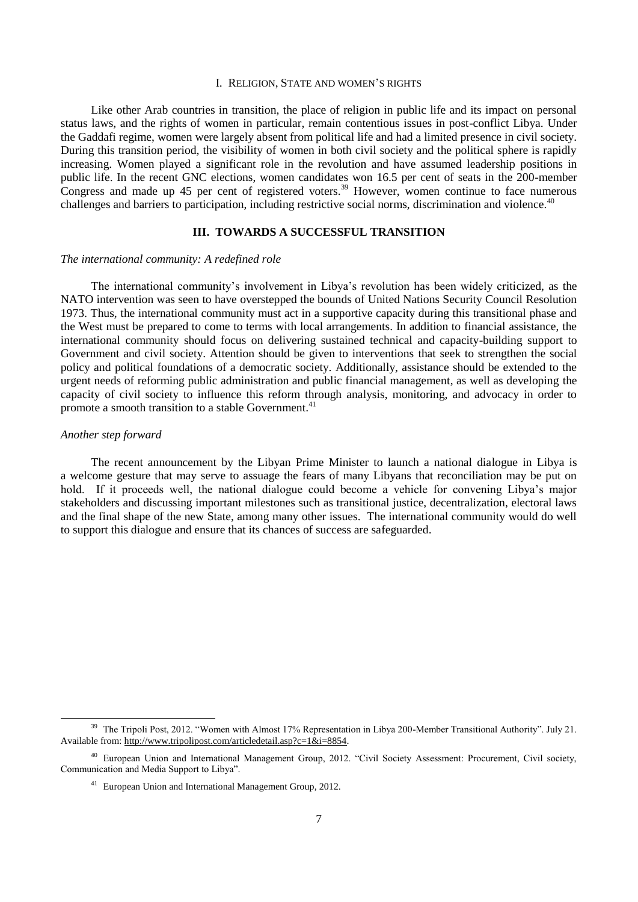#### I. RELIGION, STATE AND WOMEN'S RIGHTS

Like other Arab countries in transition, the place of religion in public life and its impact on personal status laws, and the rights of women in particular, remain contentious issues in post-conflict Libya. Under the Gaddafi regime, women were largely absent from political life and had a limited presence in civil society. During this transition period, the visibility of women in both civil society and the political sphere is rapidly increasing. Women played a significant role in the revolution and have assumed leadership positions in public life. In the recent GNC elections, women candidates won 16.5 per cent of seats in the 200-member Congress and made up 45 per cent of registered voters.<sup>39</sup> However, women continue to face numerous challenges and barriers to participation, including restrictive social norms, discrimination and violence.<sup>40</sup>

#### **III. TOWARDS A SUCCESSFUL TRANSITION**

#### *The international community: A redefined role*

The international community's involvement in Libya's revolution has been widely criticized, as the NATO intervention was seen to have overstepped the bounds of United Nations Security Council Resolution 1973. Thus, the international community must act in a supportive capacity during this transitional phase and the West must be prepared to come to terms with local arrangements. In addition to financial assistance, the international community should focus on delivering sustained technical and capacity-building support to Government and civil society. Attention should be given to interventions that seek to strengthen the social policy and political foundations of a democratic society. Additionally, assistance should be extended to the urgent needs of reforming public administration and public financial management, as well as developing the capacity of civil society to influence this reform through analysis, monitoring, and advocacy in order to promote a smooth transition to a stable Government.<sup>41</sup>

#### *Another step forward*

-

The recent announcement by the Libyan Prime Minister to launch a national dialogue in Libya is a welcome gesture that may serve to assuage the fears of many Libyans that reconciliation may be put on hold. If it proceeds well, the national dialogue could become a vehicle for convening Libya's major stakeholders and discussing important milestones such as transitional justice, decentralization, electoral laws and the final shape of the new State, among many other issues. The international community would do well to support this dialogue and ensure that its chances of success are safeguarded.

<sup>&</sup>lt;sup>39</sup> The Tripoli Post, 2012. "Women with Almost 17% Representation in Libya 200-Member Transitional Authority". July 21. Available from: http://www.tripolipost.com/articledetail.asp?c=1&i=8854.

<sup>40</sup> European Union and International Management Group, 2012. "Civil Society Assessment: Procurement, Civil society, Communication and Media Support to Libya".

<sup>41</sup> European Union and International Management Group, 2012.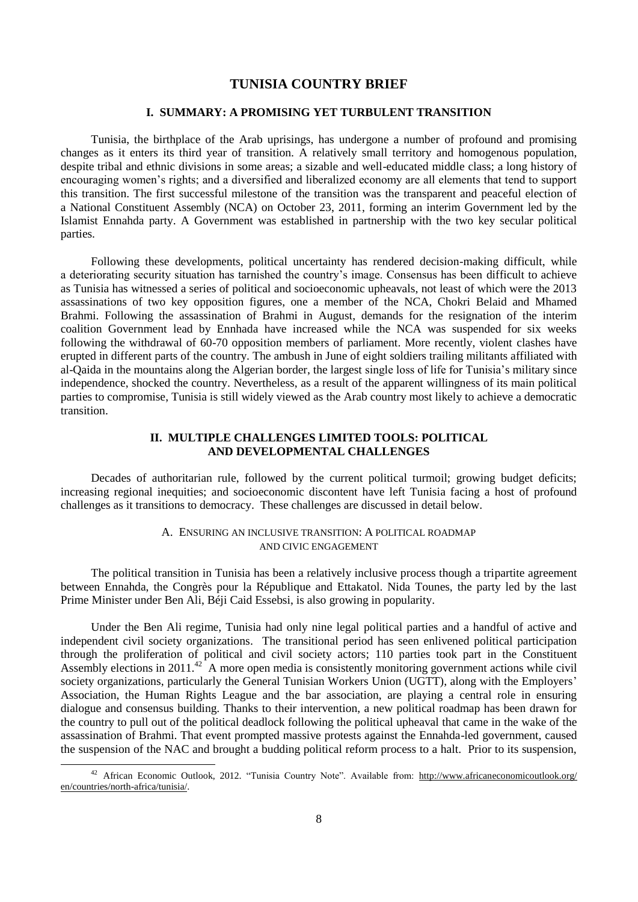## **TUNISIA COUNTRY BRIEF**

#### **I. SUMMARY: A PROMISING YET TURBULENT TRANSITION**

Tunisia, the birthplace of the Arab uprisings, has undergone a number of profound and promising changes as it enters its third year of transition. A relatively small territory and homogenous population, despite tribal and ethnic divisions in some areas; a sizable and well-educated middle class; a long history of encouraging women's rights; and a diversified and liberalized economy are all elements that tend to support this transition. The first successful milestone of the transition was the transparent and peaceful election of a National Constituent Assembly (NCA) on October 23, 2011, forming an interim Government led by the Islamist Ennahda party. A Government was established in partnership with the two key secular political parties.

Following these developments, political uncertainty has rendered decision-making difficult, while a deteriorating security situation has tarnished the country's image. Consensus has been difficult to achieve as Tunisia has witnessed a series of political and socioeconomic upheavals, not least of which were the 2013 assassinations of two key opposition figures, one a member of the NCA, Chokri Belaid and Mhamed Brahmi. Following the assassination of Brahmi in August, demands for the resignation of the interim coalition Government lead by Ennhada have increased while the NCA was suspended for six weeks following the withdrawal of 60-70 opposition members of parliament. More recently, violent clashes have erupted in different parts of the country. The ambush in June of eight soldiers trailing militants affiliated with al-Qaida in the mountains along the Algerian border, the largest single loss of life for Tunisia's military since independence, shocked the country. Nevertheless, as a result of the apparent willingness of its main political parties to compromise, Tunisia is still widely viewed as the Arab country most likely to achieve a democratic transition.

## **II. MULTIPLE CHALLENGES LIMITED TOOLS: POLITICAL AND DEVELOPMENTAL CHALLENGES**

Decades of authoritarian rule, followed by the current political turmoil; growing budget deficits; increasing regional inequities; and socioeconomic discontent have left Tunisia facing a host of profound challenges as it transitions to democracy. These challenges are discussed in detail below.

#### A. ENSURING AN INCLUSIVE TRANSITION: A POLITICAL ROADMAP AND CIVIC ENGAGEMENT

The political transition in Tunisia has been a relatively inclusive process though a tripartite agreement between Ennahda, the Congrès pour la République and Ettakatol. Nida Tounes, the party led by the last Prime Minister under Ben Ali, Béji Caid Essebsi, is also growing in popularity.

Under the Ben Ali regime, Tunisia had only nine legal political parties and a handful of active and independent civil society organizations. The transitional period has seen enlivened political participation through the proliferation of political and civil society actors; 110 parties took part in the Constituent Assembly elections in 2011. $42$  A more open media is consistently monitoring government actions while civil society organizations, particularly the General Tunisian Workers Union (UGTT), along with the Employers' Association, the Human Rights League and the bar association, are playing a central role in ensuring dialogue and consensus building. Thanks to their intervention, a new political roadmap has been drawn for the country to pull out of the political deadlock following the political upheaval that came in the wake of the assassination of Brahmi. That event prompted massive protests against the Ennahda-led government, caused the suspension of the NAC and brought a budding political reform process to a halt. Prior to its suspension,

<sup>&</sup>lt;sup>42</sup> African Economic Outlook, 2012. "Tunisia Country Note". Available from: http://www.africaneconomicoutlook.org/ en/countries/north-africa/tunisia/.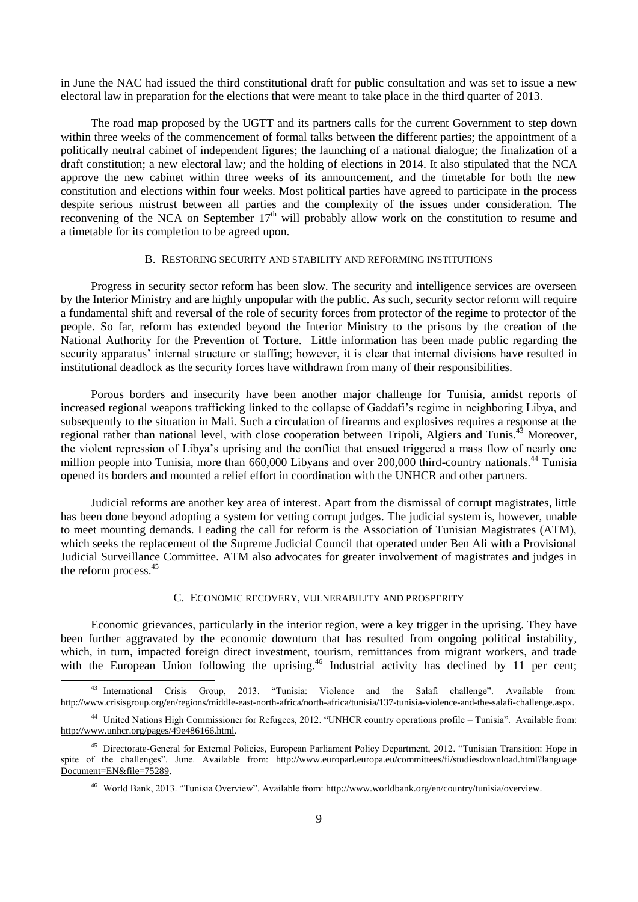in June the NAC had issued the third constitutional draft for public consultation and was set to issue a new electoral law in preparation for the elections that were meant to take place in the third quarter of 2013.

The road map proposed by the UGTT and its partners calls for the current Government to step down within three weeks of the commencement of formal talks between the different parties; the appointment of a politically neutral cabinet of independent figures; the launching of a national dialogue; the finalization of a draft constitution; a new electoral law; and the holding of elections in 2014. It also stipulated that the NCA approve the new cabinet within three weeks of its announcement, and the timetable for both the new constitution and elections within four weeks. Most political parties have agreed to participate in the process despite serious mistrust between all parties and the complexity of the issues under consideration. The reconvening of the NCA on September 17<sup>th</sup> will probably allow work on the constitution to resume and a timetable for its completion to be agreed upon.

#### B. RESTORING SECURITY AND STABILITY AND REFORMING INSTITUTIONS

Progress in security sector reform has been slow. The security and intelligence services are overseen by the Interior Ministry and are highly unpopular with the public. As such, security sector reform will require a fundamental shift and reversal of the role of security forces from protector of the regime to protector of the people. So far, reform has extended beyond the Interior Ministry to the prisons by the creation of the National Authority for the Prevention of Torture. Little information has been made public regarding the security apparatus' internal structure or staffing; however, it is clear that internal divisions have resulted in institutional deadlock as the security forces have withdrawn from many of their responsibilities.

Porous borders and insecurity have been another major challenge for Tunisia, amidst reports of increased regional weapons trafficking linked to the collapse of Gaddafi's regime in neighboring Libya, and subsequently to the situation in Mali. Such a circulation of firearms and explosives requires a response at the regional rather than national level, with close cooperation between Tripoli, Algiers and Tunis.<sup>43</sup> Moreover, the violent repression of Libya's uprising and the conflict that ensued triggered a mass flow of nearly one million people into Tunisia, more than 660,000 Libyans and over 200,000 third-country nationals.<sup>44</sup> Tunisia opened its borders and mounted a relief effort in coordination with the UNHCR and other partners.

Judicial reforms are another key area of interest. Apart from the dismissal of corrupt magistrates, little has been done beyond adopting a system for vetting corrupt judges. The judicial system is, however, unable to meet mounting demands. Leading the call for reform is the Association of Tunisian Magistrates (ATM), which seeks the replacement of the Supreme Judicial Council that operated under Ben Ali with a Provisional Judicial Surveillance Committee. ATM also advocates for greater involvement of magistrates and judges in the reform process.<sup>45</sup>

#### C. ECONOMIC RECOVERY, VULNERABILITY AND PROSPERITY

Economic grievances, particularly in the interior region, were a key trigger in the uprising. They have been further aggravated by the economic downturn that has resulted from ongoing political instability, which, in turn, impacted foreign direct investment, tourism, remittances from migrant workers, and trade with the European Union following the uprising.<sup>46</sup> Industrial activity has declined by 11 per cent;

<sup>&</sup>lt;sup>43</sup> International Crisis Group, 2013. "Tunisia: Violence and the Salafi challenge". Available from: [http://www.crisisgroup.org/en/regions/middle-east-north-africa/north-africa/tunisia/137-tunisia-violence-and-the-salafi-challenge.aspx.](http://www.crisisgroup.org/en/regions/middle-east-north-africa/north-africa/tunisia/137-tunisia-violence-and-the-salafi-challenge.aspx)

<sup>44</sup> United Nations High Commissioner for Refugees, 2012. "UNHCR country operations profile – Tunisia". Available from: http://www.unhcr.org/pages/49e486166.html.

<sup>45</sup> Directorate-General for External Policies, European Parliament Policy Department, 2012. "Tunisian Transition: Hope in spite of the challenges". June. Available from: [http://www.europarl.europa.eu/committees/fi/studiesdownload.html?language](http://www.europarl.europa.eu/committees/fi/studiesdownload.html?languageDocument=EN&file=75289) [Document=EN&file=75289.](http://www.europarl.europa.eu/committees/fi/studiesdownload.html?languageDocument=EN&file=75289)

<sup>46</sup> World Bank, 2013. "Tunisia Overview". Available from: http://www.worldbank.org/en/country/tunisia/overview.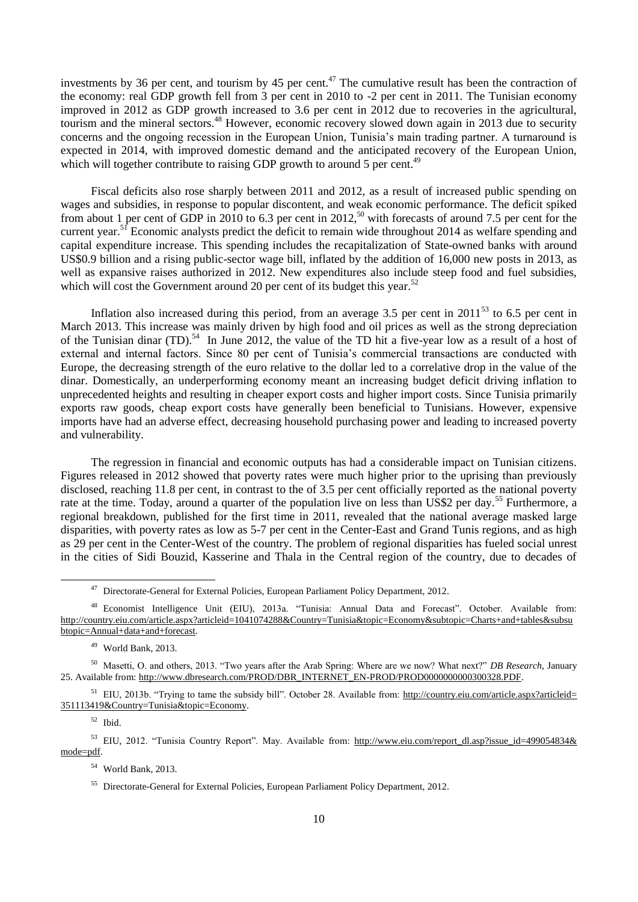investments by 36 per cent, and tourism by 45 per cent.<sup>47</sup> The cumulative result has been the contraction of the economy: real GDP growth fell from 3 per cent in 2010 to -2 per cent in 2011. The Tunisian economy improved in 2012 as GDP growth increased to 3.6 per cent in 2012 due to recoveries in the agricultural, tourism and the mineral sectors.<sup>48</sup> However, economic recovery slowed down again in 2013 due to security concerns and the ongoing recession in the European Union, Tunisia's main trading partner. A turnaround is expected in 2014, with improved domestic demand and the anticipated recovery of the European Union, which will together contribute to raising GDP growth to around 5 per cent.<sup>49</sup>

Fiscal deficits also rose sharply between 2011 and 2012, as a result of increased public spending on wages and subsidies, in response to popular discontent, and weak economic performance. The deficit spiked from about 1 per cent of GDP in 2010 to 6.3 per cent in 2012,<sup>50</sup> with forecasts of around 7.5 per cent for the current year.<sup>51</sup> Economic analysts predict the deficit to remain wide throughout 2014 as welfare spending and capital expenditure increase. This spending includes the recapitalization of State-owned banks with around US\$0.9 billion and a rising public-sector wage bill, inflated by the addition of 16,000 new posts in 2013, as well as expansive raises authorized in 2012. New expenditures also include steep food and fuel subsidies, which will cost the Government around 20 per cent of its budget this year.<sup>52</sup>

Inflation also increased during this period, from an average 3.5 per cent in  $2011^{53}$  to 6.5 per cent in March 2013. This increase was mainly driven by high food and oil prices as well as the strong depreciation of the Tunisian dinar (TD).<sup>54</sup> In June 2012, the value of the TD hit a five-year low as a result of a host of external and internal factors. Since 80 per cent of Tunisia's commercial transactions are conducted with Europe, the decreasing strength of the euro relative to the dollar led to a correlative drop in the value of the dinar. Domestically, an underperforming economy meant an increasing budget deficit driving inflation to unprecedented heights and resulting in cheaper export costs and higher import costs. Since Tunisia primarily exports raw goods, cheap export costs have generally been beneficial to Tunisians. However, expensive imports have had an adverse effect, decreasing household purchasing power and leading to increased poverty and vulnerability.

The regression in financial and economic outputs has had a considerable impact on Tunisian citizens. Figures released in 2012 showed that poverty rates were much higher prior to the uprising than previously disclosed, reaching 11.8 per cent, in contrast to the of 3.5 per cent officially reported as the national poverty rate at the time. Today, around a quarter of the population live on less than US\$2 per day.<sup>55</sup> Furthermore, a regional breakdown, published for the first time in 2011, revealed that the national average masked large disparities, with poverty rates as low as 5-7 per cent in the Center-East and Grand Tunis regions, and as high as 29 per cent in the Center-West of the country. The problem of regional disparities has fueled social unrest in the cities of Sidi Bouzid, Kasserine and Thala in the Central region of the country, due to decades of

<sup>52</sup> Ibid.

-

53 EIU, 2012. "Tunisia Country Report". May. Available from: http://www.eiu.com/report\_dl.asp?issue\_id=499054834& mode=pdf.

<sup>54</sup> World Bank, 2013.

<sup>&</sup>lt;sup>47</sup> Directorate-General for External Policies, European Parliament Policy Department, 2012.

<sup>48</sup> Economist Intelligence Unit (EIU), 2013a. "Tunisia: Annual Data and Forecast". October. Available from: [http://country.eiu.com/article.aspx?articleid=1041074288&Country=Tunisia&topic=Economy&subtopic=Charts+and+tables&subsu](http://country.eiu.com/article.aspx?articleid=1041074288&Country=Tunisia&topic=Economy&subtopic=Charts+and+tables&subsubtopic=Annual+data+and+forecast) [btopic=Annual+data+and+forecast.](http://country.eiu.com/article.aspx?articleid=1041074288&Country=Tunisia&topic=Economy&subtopic=Charts+and+tables&subsubtopic=Annual+data+and+forecast)

<sup>49</sup> World Bank, 2013.

<sup>50</sup> Masetti, O. and others, 2013. "Two years after the Arab Spring: Where are we now? What next?" *DB Research*, January 25. Available from: http://www.dbresearch.com/PROD/DBR\_INTERNET\_EN-PROD/PROD0000000000300328.PDF.

 $51$  EIU, 2013b. "Trying to tame the subsidy bill". October 28. Available from: [http://country.eiu.com/article.aspx?articleid=](http://country.eiu.com/article.aspx?articleid=351113419&Country=Tunisia&topic=Economy) [351113419&Country=Tunisia&topic=Economy.](http://country.eiu.com/article.aspx?articleid=351113419&Country=Tunisia&topic=Economy)

<sup>55</sup> Directorate-General for External Policies, European Parliament Policy Department, 2012.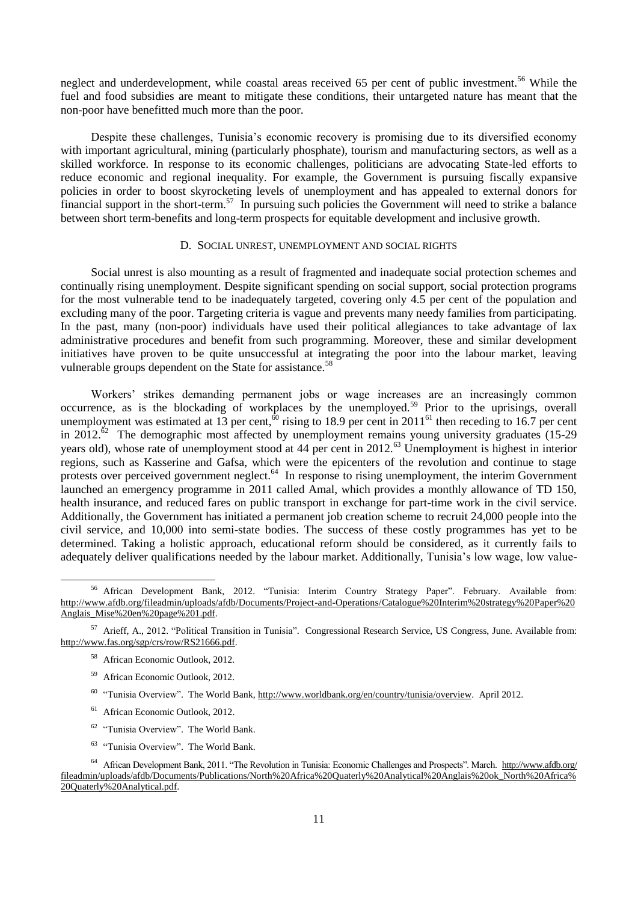neglect and underdevelopment, while coastal areas received 65 per cent of public investment.<sup>56</sup> While the fuel and food subsidies are meant to mitigate these conditions, their untargeted nature has meant that the non-poor have benefitted much more than the poor.

Despite these challenges, Tunisia's economic recovery is promising due to its diversified economy with important agricultural, mining (particularly phosphate), tourism and manufacturing sectors, as well as a skilled workforce. In response to its economic challenges, politicians are advocating State-led efforts to reduce economic and regional inequality. For example, the Government is pursuing fiscally expansive policies in order to boost skyrocketing levels of unemployment and has appealed to external donors for financial support in the short-term.<sup>57</sup> In pursuing such policies the Government will need to strike a balance between short term-benefits and long-term prospects for equitable development and inclusive growth.

#### D. SOCIAL UNREST, UNEMPLOYMENT AND SOCIAL RIGHTS

Social unrest is also mounting as a result of fragmented and inadequate social protection schemes and continually rising unemployment. Despite significant spending on social support, social protection programs for the most vulnerable tend to be inadequately targeted, covering only 4.5 per cent of the population and excluding many of the poor. Targeting criteria is vague and prevents many needy families from participating. In the past, many (non-poor) individuals have used their political allegiances to take advantage of lax administrative procedures and benefit from such programming. Moreover, these and similar development initiatives have proven to be quite unsuccessful at integrating the poor into the labour market, leaving vulnerable groups dependent on the State for assistance.<sup>58</sup>

Workers' strikes demanding permanent jobs or wage increases are an increasingly common occurrence, as is the blockading of workplaces by the unemployed.<sup>59</sup> Prior to the uprisings, overall unemployment was estimated at 13 per cent,<sup>60</sup> rising to 18.9 per cent in  $2011<sup>61</sup>$  then receding to 16.7 per cent in 2012.<sup>62</sup> The demographic most affected by unemployment remains young university graduates (15-29) years old), whose rate of unemployment stood at 44 per cent in 2012.<sup>63</sup> Unemployment is highest in interior regions, such as Kasserine and Gafsa, which were the epicenters of the revolution and continue to stage protests over perceived government neglect.<sup>64</sup> In response to rising unemployment, the interim Government launched an emergency programme in 2011 called Amal, which provides a monthly allowance of TD 150, health insurance, and reduced fares on public transport in exchange for part-time work in the civil service. Additionally, the Government has initiated a permanent job creation scheme to recruit 24,000 people into the civil service, and 10,000 into semi-state bodies. The success of these costly programmes has yet to be determined. Taking a holistic approach, educational reform should be considered, as it currently fails to adequately deliver qualifications needed by the labour market. Additionally, Tunisia's low wage, low value-

-

- <sup>59</sup> African Economic Outlook, 2012.
- <sup>60</sup> "Tunisia Overview". The World Bank, [http://www.worldbank.org/en/country/tunisia/overview.](http://www.worldbank.org/en/country/tunisia/overview) April 2012.
- <sup>61</sup> African Economic Outlook, 2012.
- <sup>62</sup> "Tunisia Overview". The World Bank.
- <sup>63</sup> "Tunisia Overview". The World Bank.

<sup>64</sup> African Development Bank, 2011. "The Revolution in Tunisia: Economic Challenges and Prospects". March. http://www.afdb.org/ fileadmin/uploads/afdb/Documents/Publications/North%20Africa%20Quaterly%20Analytical%20Anglais%20ok\_North%20Africa% 20Quaterly%20Analytical.pdf.

<sup>56</sup> African Development Bank, 2012. "Tunisia: Interim Country Strategy Paper". February. Available from: [http://www.afdb.org/fileadmin/uploads/afdb/Documents/Project-and-Operations/Catalogue%20Interim%20strategy%20Paper%20](http://www.afdb.org/fileadmin/uploads/afdb/Documents/Project-and-Operations/Catalogue%20Interim%20strategy%20Paper%20Anglais_Mise%20en%20page%201.pdf) [Anglais\\_Mise%20en%20page%201.pdf.](http://www.afdb.org/fileadmin/uploads/afdb/Documents/Project-and-Operations/Catalogue%20Interim%20strategy%20Paper%20Anglais_Mise%20en%20page%201.pdf)

<sup>57</sup> Arieff, A., 2012. "Political Transition in Tunisia". Congressional Research Service, US Congress, June. Available from: [http://www.fas.org/sgp/crs/row/RS21666.pdf.](http://www.fas.org/sgp/crs/row/RS21666.pdf)

<sup>58</sup> African Economic Outlook, 2012.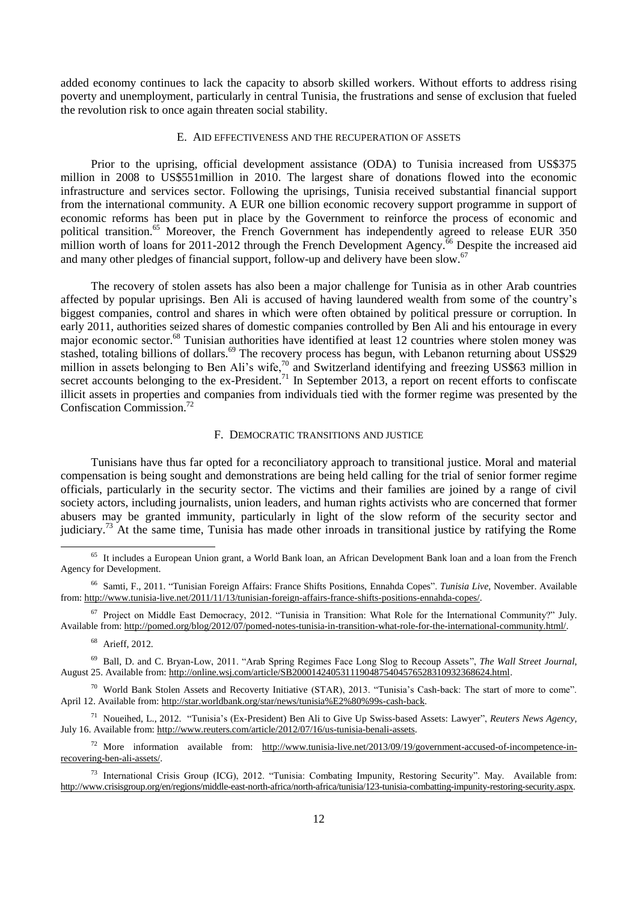added economy continues to lack the capacity to absorb skilled workers. Without efforts to address rising poverty and unemployment, particularly in central Tunisia, the frustrations and sense of exclusion that fueled the revolution risk to once again threaten social stability.

## E. AID EFFECTIVENESS AND THE RECUPERATION OF ASSETS

Prior to the uprising, official development assistance (ODA) to Tunisia increased from US\$375 million in 2008 to US\$551million in 2010. The largest share of donations flowed into the economic infrastructure and services sector. Following the uprisings, Tunisia received substantial financial support from the international community. A EUR one billion economic recovery support programme in support of economic reforms has been put in place by the Government to reinforce the process of economic and political transition.<sup>65</sup> Moreover, the French Government has independently agreed to release EUR 350 million worth of loans for 2011-2012 through the French Development Agency.<sup> $66$ </sup> Despite the increased aid and many other pledges of financial support, follow-up and delivery have been slow.<sup>67</sup>

The recovery of stolen assets has also been a major challenge for Tunisia as in other Arab countries affected by popular uprisings. Ben Ali is accused of having laundered wealth from some of the country's biggest companies, control and shares in which were often obtained by political pressure or corruption. In early 2011, authorities seized shares of domestic companies controlled by Ben Ali and his entourage in every major economic sector.<sup>68</sup> Tunisian authorities have identified at least 12 countries where stolen money was stashed, totaling billions of dollars.<sup>69</sup> The recovery process has begun, with Lebanon returning about US\$29 million in assets belonging to Ben Ali's wife,<sup>70</sup> and Switzerland identifying and freezing US\$63 million in secret accounts belonging to the ex-President.<sup>71</sup> In September 2013, a report on recent efforts to confiscate illicit assets in properties and companies from individuals tied with the former regime was presented by the Confiscation Commission.<sup>72</sup>

#### F. DEMOCRATIC TRANSITIONS AND JUSTICE

Tunisians have thus far opted for a reconciliatory approach to transitional justice. Moral and material compensation is being sought and demonstrations are being held calling for the trial of senior former regime officials, particularly in the security sector. The victims and their families are joined by a range of civil society actors, including journalists, union leaders, and human rights activists who are concerned that former abusers may be granted immunity, particularly in light of the slow reform of the security sector and judiciary.<sup>73</sup> At the same time, Tunisia has made other inroads in transitional justice by ratifying the Rome

<sup>67</sup> Project on Middle East Democracy, 2012. "Tunisia in Transition: What Role for the International Community?" July. Available from: http://pomed.org/blog/2012/07/pomed-notes-tunisia-in-transition-what-role-for-the-international-community.html/.

<sup>68</sup> Arieff, 2012.

-

<sup>69</sup> Ball, D. and C. Bryan-Low, 2011. "Arab Spring Regimes Face Long Slog to Recoup Assets", *The Wall Street Journal*, August 25. Available from: http://online.wsj.com/article/SB20001424053111904875404576528310932368624.html.

 $70$  World Bank Stolen Assets and Recoverty Initiative (STAR), 2013. "Tunisia's Cash-back: The start of more to come". April 12. Available from: http://star.worldbank.org/star/news/tunisia%E2%80%99s-cash-back.

<sup>71</sup> Noueihed, L., 2012. "Tunisia's (Ex-President) Ben Ali to Give Up Swiss-based Assets: Lawyer", *Reuters News Agency,*  July 16. Available from: http://www.reuters.com/article/2012/07/16/us-tunisia-benali-assets.

<sup>72</sup> More information available from: http://www.tunisia-live.net/2013/09/19/government-accused-of-incompetence-inrecovering-ben-ali-assets/.

<sup>73</sup> International Crisis Group (ICG), 2012. "Tunisia: Combating Impunity, Restoring Security". May. Available from: http://www.crisisgroup.org/en/regions/middle-east-north-africa/north-africa/tunisia/123-tunisia-combatting-impunity-restoring-security.aspx.

<sup>&</sup>lt;sup>65</sup> It includes a European Union grant, a World Bank loan, an African Development Bank loan and a loan from the French Agency for Development.

<sup>66</sup> Samti, F., 2011. ["Tunisian Foreign Affairs: France Shifts Positions, Ennahda Copes"](http://www.tunisia-live.net/2011/11/13/tunisian-foreign-affairs-france-shifts-positions-ennahda-copes/). *Tunisia Live*, November. Available from: http://www.tunisia-live.net/2011/11/13/tunisian-foreign-affairs-france-shifts-positions-ennahda-copes/.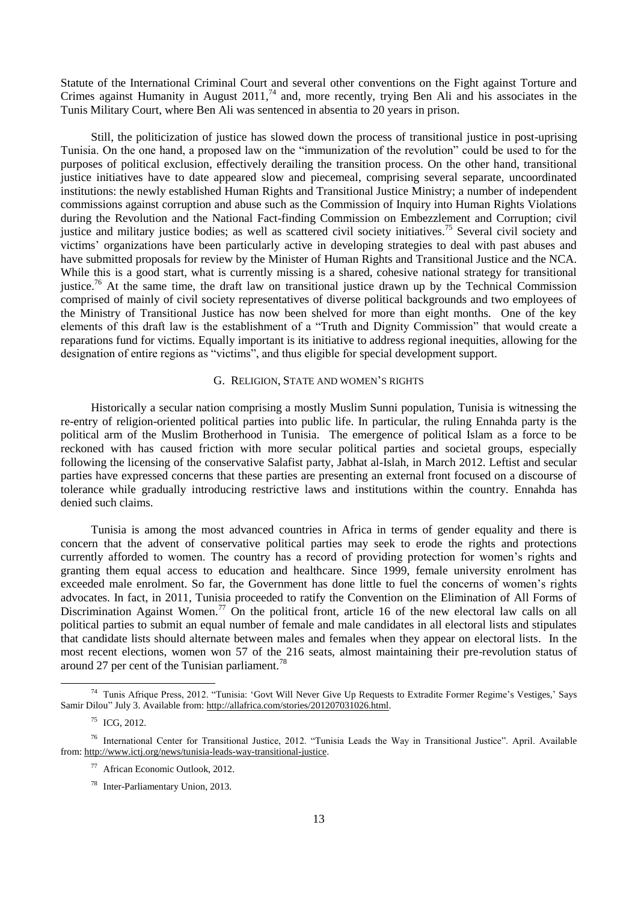Statute of the International Criminal Court and several other conventions on the Fight against Torture and Crimes against Humanity in August 2011,<sup>74</sup> and, more recently, trying Ben Ali and his associates in the Tunis Military Court, where Ben Ali was sentenced in absentia to 20 years in prison.

Still, the politicization of justice has slowed down the process of transitional justice in post-uprising Tunisia. On the one hand, a proposed law on the "immunization of the revolution" could be used to for the purposes of political exclusion, effectively derailing the transition process. On the other hand, transitional justice initiatives have to date appeared slow and piecemeal, comprising several separate, uncoordinated institutions: the newly established Human Rights and Transitional Justice Ministry; a number of independent commissions against corruption and abuse such as the Commission of Inquiry into Human Rights Violations during the Revolution and the National Fact-finding Commission on Embezzlement and Corruption; civil justice and military justice bodies; as well as scattered civil society initiatives.<sup>75</sup> Several civil society and victims' organizations have been particularly active in developing strategies to deal with past abuses and have submitted proposals for review by the Minister of Human Rights and Transitional Justice and the NCA. While this is a good start, what is currently missing is a shared, cohesive national strategy for transitional justice.<sup>76</sup> At the same time, the draft law on transitional justice drawn up by the Technical Commission comprised of mainly of civil society representatives of diverse political backgrounds and two employees of the Ministry of Transitional Justice has now been shelved for more than eight months. One of the key elements of this draft law is the establishment of a "Truth and Dignity Commission" that would create a reparations fund for victims. Equally important is its initiative to address regional inequities, allowing for the designation of entire regions as "victims", and thus eligible for special development support.

## G. RELIGION, STATE AND WOMEN'S RIGHTS

Historically a secular nation comprising a mostly Muslim Sunni population, Tunisia is witnessing the re-entry of religion-oriented political parties into public life. In particular, the ruling Ennahda party is the political arm of the Muslim Brotherhood in Tunisia. The emergence of political Islam as a force to be reckoned with has caused friction with more secular political parties and societal groups, especially following the licensing of the conservative Salafist party, Jabhat al-Islah, in March 2012. Leftist and secular parties have expressed concerns that these parties are presenting an external front focused on a discourse of tolerance while gradually introducing restrictive laws and institutions within the country. Ennahda has denied such claims.

Tunisia is among the most advanced countries in Africa in terms of gender equality and there is concern that the advent of conservative political parties may seek to erode the rights and protections currently afforded to women. The country has a record of providing protection for women's rights and granting them equal access to education and healthcare. Since 1999, female university enrolment has exceeded male enrolment. So far, the Government has done little to fuel the concerns of women's rights advocates. In fact, in 2011, Tunisia proceeded to ratify the Convention on the Elimination of All Forms of Discrimination Against Women.<sup>77</sup> On the political front, article 16 of the new electoral law calls on all political parties to submit an equal number of female and male candidates in all electoral lists and stipulates that candidate lists should alternate between males and females when they appear on electoral lists. In the most recent elections, women won 57 of the 216 seats, almost maintaining their pre-revolution status of around 27 per cent of the Tunisian parliament.<sup>78</sup>

<sup>&</sup>lt;sup>74</sup> Tunis Afrique Press, 2012. "Tunisia: 'Govt Will Never Give Up Requests to Extradite Former Regime's Vestiges,' Says Samir Dilou" July 3. Available from: http://allafrica.com/stories/201207031026.html.

 $^{75}$  ICG, 2012.

<sup>76</sup> International Center for Transitional Justice, 2012. "Tunisia Leads the Way in Transitional Justice". April. Available from: http://www.ictj.org/news/tunisia-leads-way-transitional-justice.

<sup>77</sup> African Economic Outlook, 2012.

<sup>78</sup> Inter-Parliamentary Union, 2013.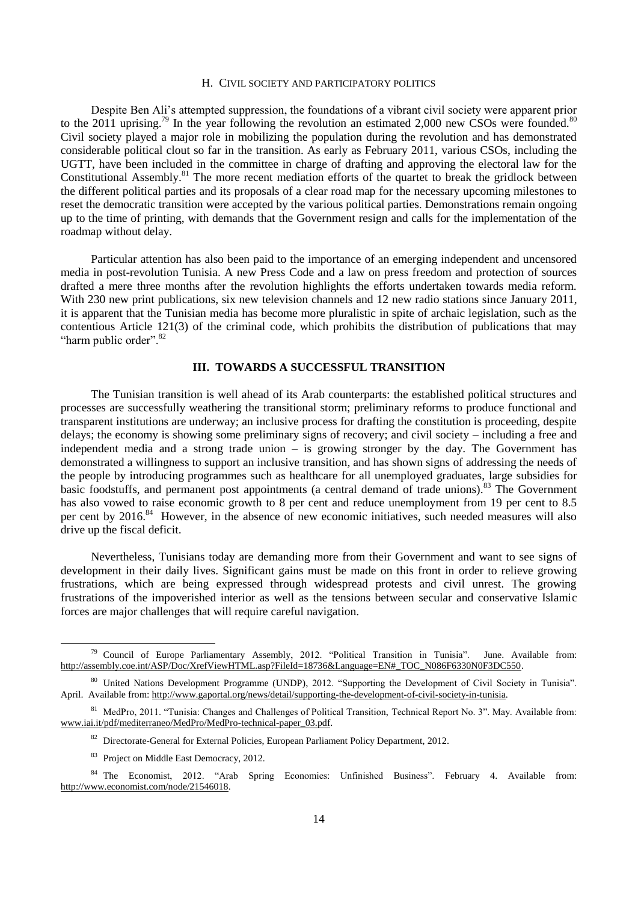#### H. CIVIL SOCIETY AND PARTICIPATORY POLITICS

Despite Ben Ali's attempted suppression, the foundations of a vibrant civil society were apparent prior to the 2011 uprising.<sup>79</sup> In the year following the revolution an estimated 2,000 new CSOs were founded.<sup>80</sup> Civil society played a major role in mobilizing the population during the revolution and has demonstrated considerable political clout so far in the transition. As early as February 2011, various CSOs, including the UGTT, have been included in the committee in charge of drafting and approving the electoral law for the Constitutional Assembly.<sup>81</sup> The more recent mediation efforts of the quartet to break the gridlock between the different political parties and its proposals of a clear road map for the necessary upcoming milestones to reset the democratic transition were accepted by the various political parties. Demonstrations remain ongoing up to the time of printing, with demands that the Government resign and calls for the implementation of the roadmap without delay.

Particular attention has also been paid to the importance of an emerging independent and uncensored media in post-revolution Tunisia. A new Press Code and a law on press freedom and protection of sources drafted a mere three months after the revolution highlights the efforts undertaken towards media reform. With 230 new print publications, six new television channels and 12 new radio stations since January 2011, it is apparent that the Tunisian media has become more pluralistic in spite of archaic legislation, such as the contentious Article 121(3) of the criminal code, which prohibits the distribution of publications that may "harm public order".<sup>82</sup>

#### **III. TOWARDS A SUCCESSFUL TRANSITION**

The Tunisian transition is well ahead of its Arab counterparts: the established political structures and processes are successfully weathering the transitional storm; preliminary reforms to produce functional and transparent institutions are underway; an inclusive process for drafting the constitution is proceeding, despite delays; the economy is showing some preliminary signs of recovery; and civil society – including a free and independent media and a strong trade union – is growing stronger by the day. The Government has demonstrated a willingness to support an inclusive transition, and has shown signs of addressing the needs of the people by introducing programmes such as healthcare for all unemployed graduates, large subsidies for basic foodstuffs, and permanent post appointments (a central demand of trade unions).<sup>83</sup> The Government has also vowed to raise economic growth to 8 per cent and reduce unemployment from 19 per cent to 8.5 per cent by 2016.<sup>84</sup> However, in the absence of new economic initiatives, such needed measures will also drive up the fiscal deficit.

Nevertheless, Tunisians today are demanding more from their Government and want to see signs of development in their daily lives. Significant gains must be made on this front in order to relieve growing frustrations, which are being expressed through widespread protests and civil unrest. The growing frustrations of the impoverished interior as well as the tensions between secular and conservative Islamic forces are major challenges that will require careful navigation.

 $79$  Council of Europe Parliamentary Assembly, 2012. "Political Transition in Tunisia". June. Available from: [http://assembly.coe.int/ASP/Doc/XrefViewHTML.asp?FileId=18736&Language=EN#\\_TOC\\_N086F6330N0F3DC550.](http://assembly.coe.int/ASP/Doc/XrefViewHTML.asp?FileId=18736&Language=EN#_TOC_N086F6330N0F3DC550)

<sup>80</sup> United Nations Development Programme (UNDP), 2012. "Supporting the Development of Civil Society in Tunisia". April. Available from: http://www.gaportal.org/news/detail/supporting-the-development-of-civil-society-in-tunisia.

<sup>81</sup> MedPro, 2011. "Tunisia: Changes and Challenges of Political Transition, Technical Report No. 3". May. Available from: www.iai.it/pdf/mediterraneo/MedPro/MedPro-technical-paper\_03.pdf.

<sup>82</sup> Directorate-General for External Policies, European Parliament Policy Department, 2012.

<sup>&</sup>lt;sup>83</sup> Project on Middle East Democracy, 2012.

<sup>84</sup> The Economist, 2012. "Arab Spring Economies: Unfinished Business". February 4. Available from: http://www.economist.com/node/21546018.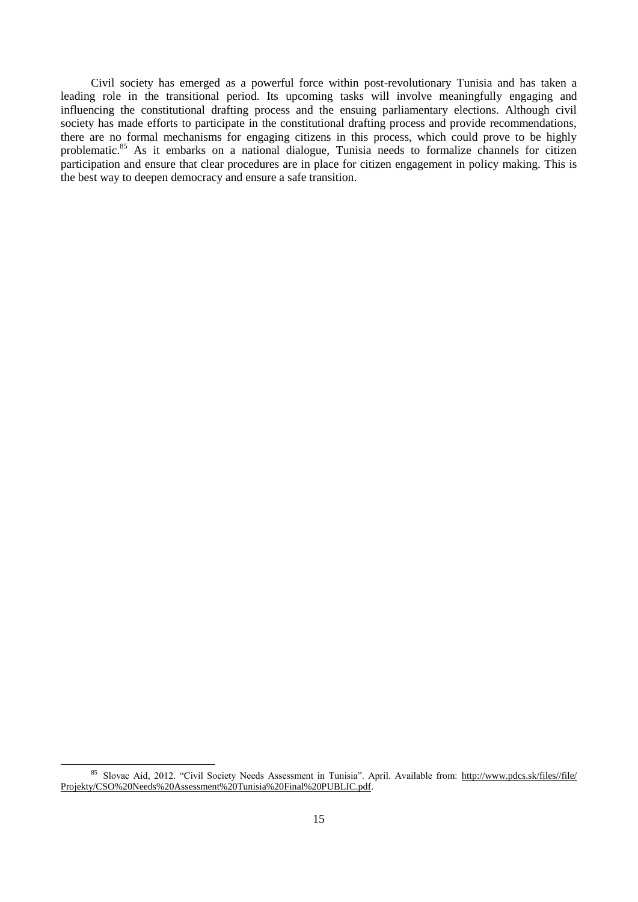Civil society has emerged as a powerful force within post-revolutionary Tunisia and has taken a leading role in the transitional period. Its upcoming tasks will involve meaningfully engaging and influencing the constitutional drafting process and the ensuing parliamentary elections. Although civil society has made efforts to participate in the constitutional drafting process and provide recommendations, there are no formal mechanisms for engaging citizens in this process, which could prove to be highly problematic.<sup>85</sup> As it embarks on a national dialogue, Tunisia needs to formalize channels for citizen participation and ensure that clear procedures are in place for citizen engagement in policy making. This is the best way to deepen democracy and ensure a safe transition.

<sup>85</sup> Slovac Aid, 2012. "Civil Society Needs Assessment in Tunisia". April. Available from: http://www.pdcs.sk/files//file/ Projekty/CSO%20Needs%20Assessment%20Tunisia%20Final%20PUBLIC.pdf.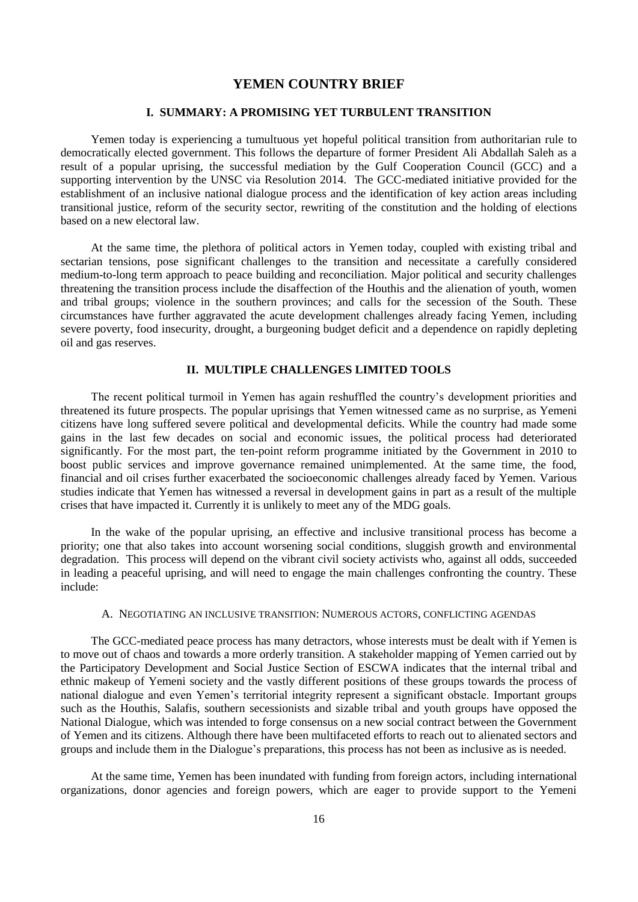## **YEMEN COUNTRY BRIEF**

## **I. SUMMARY: A PROMISING YET TURBULENT TRANSITION**

Yemen today is experiencing a tumultuous yet hopeful political transition from authoritarian rule to democratically elected government. This follows the departure of former President Ali Abdallah Saleh as a result of a popular uprising, the successful mediation by the Gulf Cooperation Council (GCC) and a supporting intervention by the UNSC via Resolution 2014. The GCC-mediated initiative provided for the establishment of an inclusive national dialogue process and the identification of key action areas including transitional justice, reform of the security sector, rewriting of the constitution and the holding of elections based on a new electoral law.

At the same time, the plethora of political actors in Yemen today, coupled with existing tribal and sectarian tensions, pose significant challenges to the transition and necessitate a carefully considered medium-to-long term approach to peace building and reconciliation. Major political and security challenges threatening the transition process include the disaffection of the Houthis and the alienation of youth, women and tribal groups; violence in the southern provinces; and calls for the secession of the South. These circumstances have further aggravated the acute development challenges already facing Yemen, including severe poverty, food insecurity, drought, a burgeoning budget deficit and a dependence on rapidly depleting oil and gas reserves.

#### **II. MULTIPLE CHALLENGES LIMITED TOOLS**

The recent political turmoil in Yemen has again reshuffled the country's development priorities and threatened its future prospects. The popular uprisings that Yemen witnessed came as no surprise, as Yemeni citizens have long suffered severe political and developmental deficits. While the country had made some gains in the last few decades on social and economic issues, the political process had deteriorated significantly. For the most part, the ten-point reform programme initiated by the Government in 2010 to boost public services and improve governance remained unimplemented. At the same time, the food, financial and oil crises further exacerbated the socioeconomic challenges already faced by Yemen. Various studies indicate that Yemen has witnessed a reversal in development gains in part as a result of the multiple crises that have impacted it. Currently it is unlikely to meet any of the MDG goals.

In the wake of the popular uprising, an effective and inclusive transitional process has become a priority; one that also takes into account worsening social conditions, sluggish growth and environmental degradation. This process will depend on the vibrant civil society activists who, against all odds, succeeded in leading a peaceful uprising, and will need to engage the main challenges confronting the country. These include:

#### A. NEGOTIATING AN INCLUSIVE TRANSITION: NUMEROUS ACTORS, CONFLICTING AGENDAS

The GCC-mediated peace process has many detractors, whose interests must be dealt with if Yemen is to move out of chaos and towards a more orderly transition. A stakeholder mapping of Yemen carried out by the Participatory Development and Social Justice Section of ESCWA indicates that the internal tribal and ethnic makeup of Yemeni society and the vastly different positions of these groups towards the process of national dialogue and even Yemen's territorial integrity represent a significant obstacle. Important groups such as the Houthis, Salafis, southern secessionists and sizable tribal and youth groups have opposed the National Dialogue, which was intended to forge consensus on a new social contract between the Government of Yemen and its citizens. Although there have been multifaceted efforts to reach out to alienated sectors and groups and include them in the Dialogue's preparations, this process has not been as inclusive as is needed.

At the same time, Yemen has been inundated with funding from foreign actors, including international organizations, donor agencies and foreign powers, which are eager to provide support to the Yemeni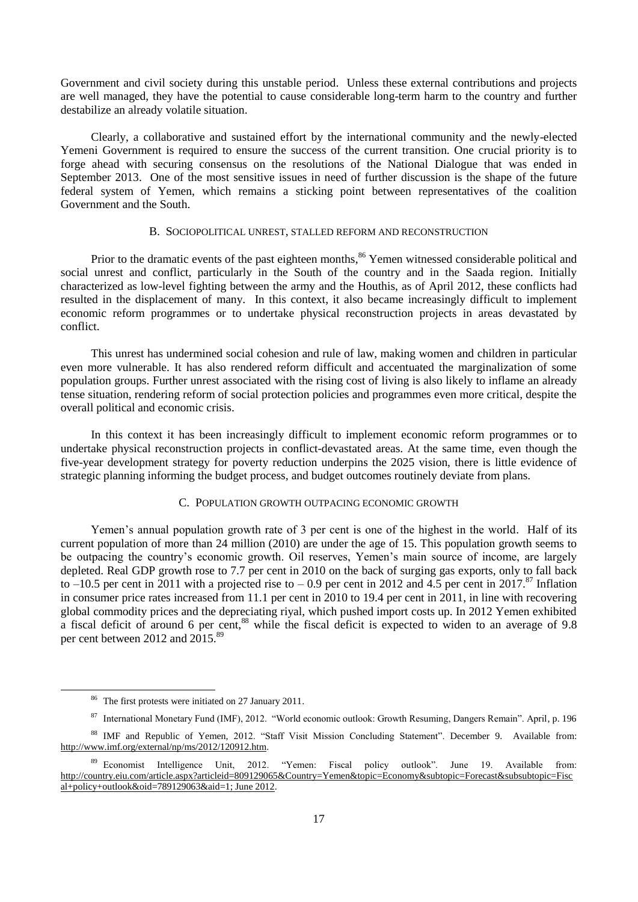Government and civil society during this unstable period. Unless these external contributions and projects are well managed, they have the potential to cause considerable long-term harm to the country and further destabilize an already volatile situation.

Clearly, a collaborative and sustained effort by the international community and the newly-elected Yemeni Government is required to ensure the success of the current transition. One crucial priority is to forge ahead with securing consensus on the resolutions of the National Dialogue that was ended in September 2013. One of the most sensitive issues in need of further discussion is the shape of the future federal system of Yemen, which remains a sticking point between representatives of the coalition Government and the South.

#### B. SOCIOPOLITICAL UNREST, STALLED REFORM AND RECONSTRUCTION

Prior to the dramatic events of the past eighteen months,<sup>86</sup> Yemen witnessed considerable political and social unrest and conflict, particularly in the South of the country and in the Saada region. Initially characterized as low-level fighting between the army and the Houthis, as of April 2012, these conflicts had resulted in the displacement of many. In this context, it also became increasingly difficult to implement economic reform programmes or to undertake physical reconstruction projects in areas devastated by conflict.

This unrest has undermined social cohesion and rule of law, making women and children in particular even more vulnerable. It has also rendered reform difficult and accentuated the marginalization of some population groups. Further unrest associated with the rising cost of living is also likely to inflame an already tense situation, rendering reform of social protection policies and programmes even more critical, despite the overall political and economic crisis.

In this context it has been increasingly difficult to implement economic reform programmes or to undertake physical reconstruction projects in conflict-devastated areas. At the same time, even though the five-year development strategy for poverty reduction underpins the 2025 vision, there is little evidence of strategic planning informing the budget process, and budget outcomes routinely deviate from plans.

#### C. POPULATION GROWTH OUTPACING ECONOMIC GROWTH

Yemen's annual population growth rate of 3 per cent is one of the highest in the world. Half of its current population of more than 24 million (2010) are under the age of 15. This population growth seems to be outpacing the country's economic growth. Oil reserves, Yemen's main source of income, are largely depleted. Real GDP growth rose to 7.7 per cent in 2010 on the back of surging gas exports, only to fall back to –10.5 per cent in 2011 with a projected rise to – 0.9 per cent in 2012 and 4.5 per cent in 2017.<sup>87</sup> Inflation in consumer price rates increased from 11.1 per cent in 2010 to 19.4 per cent in 2011, in line with recovering global commodity prices and the depreciating riyal, which pushed import costs up. In 2012 Yemen exhibited a fiscal deficit of around 6 per cent,<sup>88</sup> while the fiscal deficit is expected to widen to an average of 9.8 per cent between 2012 and 2015.<sup>89</sup>

<sup>86</sup> The first protests were initiated on 27 January 2011.

<sup>87</sup> International Monetary Fund (IMF), 2012. "World economic outlook: Growth Resuming, Dangers Remain". April, p. 196

<sup>88</sup> IMF and Republic of Yemen, 2012. "Staff Visit Mission Concluding Statement". December 9. Available from: [http://www.imf.org/external/np/ms/2012/120912.htm.](http://www.imf.org/external/np/ms/2012/120912.htm)

<sup>&</sup>lt;sup>89</sup> Economist Intelligence Unit, 2012. "Yemen: Fiscal policy outlook". June 19. Available from: http://country.eiu.com/article.aspx?articleid=809129065&Country=Yemen&topic=Economy&subtopic=Forecast&subsubtopic=Fisc al+policy+outlook&oid=789129063&aid=1; June 2012.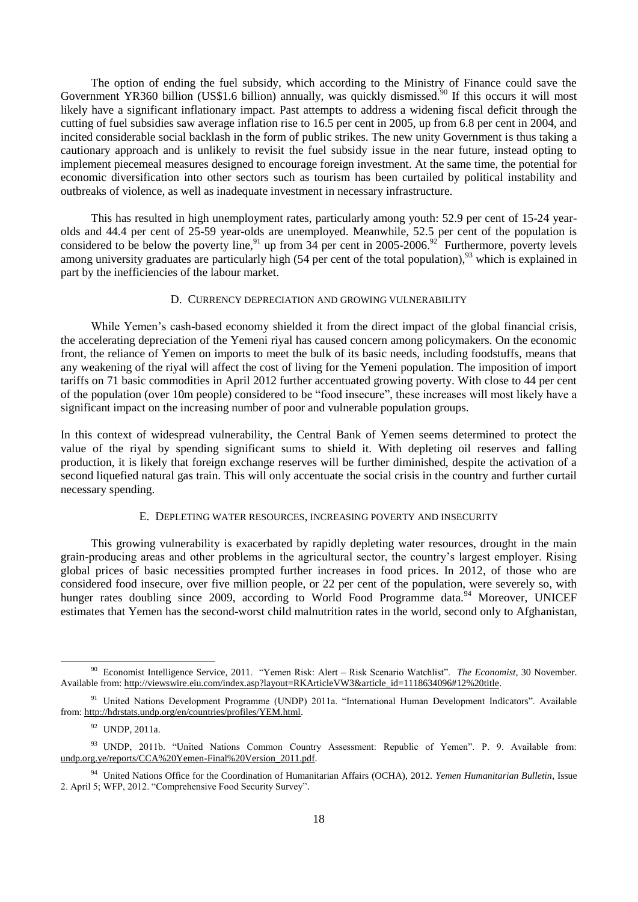The option of ending the fuel subsidy, which according to the Ministry of Finance could save the Government YR360 billion (US\$1.6 billion) annually, was quickly dismissed.<sup>50</sup> If this occurs it will most likely have a significant inflationary impact. Past attempts to address a widening fiscal deficit through the cutting of fuel subsidies saw average inflation rise to 16.5 per cent in 2005, up from 6.8 per cent in 2004, and incited considerable social backlash in the form of public strikes. The new unity Government is thus taking a cautionary approach and is unlikely to revisit the fuel subsidy issue in the near future, instead opting to implement piecemeal measures designed to encourage foreign investment. At the same time, the potential for economic diversification into other sectors such as tourism has been curtailed by political instability and outbreaks of violence, as well as inadequate investment in necessary infrastructure.

This has resulted in high unemployment rates, particularly among youth: 52.9 per cent of 15-24 yearolds and 44.4 per cent of 25-59 year-olds are unemployed. Meanwhile, 52.5 per cent of the population is considered to be below the poverty line,<sup>91</sup> up from  $34$  per cent in 2005-2006.<sup>92</sup> Furthermore, poverty levels among university graduates are particularly high (54 per cent of the total population),  $93$  which is explained in part by the inefficiencies of the labour market.

#### D. CURRENCY DEPRECIATION AND GROWING VULNERABILITY

While Yemen's cash-based economy shielded it from the direct impact of the global financial crisis, the accelerating depreciation of the Yemeni riyal has caused concern among policymakers. On the economic front, the reliance of Yemen on imports to meet the bulk of its basic needs, including foodstuffs, means that any weakening of the riyal will affect the cost of living for the Yemeni population. The imposition of import tariffs on 71 basic commodities in April 2012 further accentuated growing poverty. With close to 44 per cent of the population (over 10m people) considered to be "food insecure", these increases will most likely have a significant impact on the increasing number of poor and vulnerable population groups.

In this context of widespread vulnerability, the Central Bank of Yemen seems determined to protect the value of the riyal by spending significant sums to shield it. With depleting oil reserves and falling production, it is likely that foreign exchange reserves will be further diminished, despite the activation of a second liquefied natural gas train. This will only accentuate the social crisis in the country and further curtail necessary spending.

#### E. DEPLETING WATER RESOURCES, INCREASING POVERTY AND INSECURITY

This growing vulnerability is exacerbated by rapidly depleting water resources, drought in the main grain-producing areas and other problems in the agricultural sector, the country's largest employer. Rising global prices of basic necessities prompted further increases in food prices. In 2012, of those who are considered food insecure, over five million people, or 22 per cent of the population, were severely so, with hunger rates doubling since 2009, according to World Food Programme data.<sup>94</sup> Moreover, UNICEF estimates that Yemen has the second-worst child malnutrition rates in the world, second only to Afghanistan,

<sup>90</sup> Economist Intelligence Service, 2011. "Yemen Risk: Alert – Risk Scenario Watchlist". *The Economist*, 30 November. Available from: http://viewswire.eiu.com/index.asp?layout=RKArticleVW3&article\_id=1118634096#12%20title.

<sup>&</sup>lt;sup>91</sup> United Nations Development Programme (UNDP) 2011a. "International Human Development Indicators". Available from: http://hdrstats.undp.org/en/countries/profiles/YEM.html.

<sup>92</sup> UNDP, 2011a.

<sup>93</sup> UNDP, 2011b. "United Nations Common Country Assessment: Republic of Yemen". P. 9. Available from: undp.org.ye/reports/CCA%20Yemen-Final%20Version\_2011.pdf.

<sup>94</sup> United Nations Office for the Coordination of Humanitarian Affairs (OCHA), 2012. *Yemen Humanitarian Bulletin*, Issue 2. April 5; WFP, 2012. "Comprehensive Food Security Survey".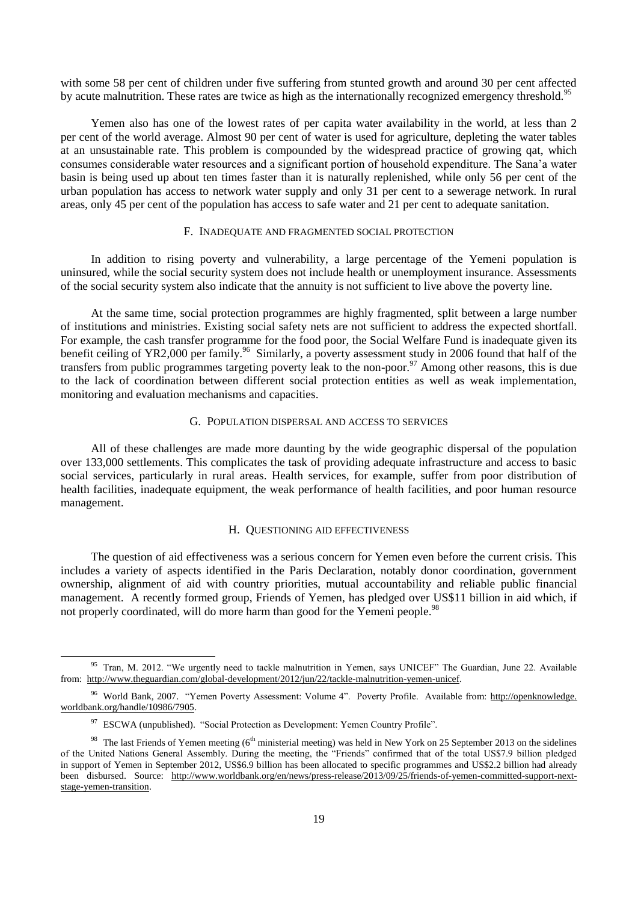with some 58 per cent of children under five suffering from stunted growth and around 30 per cent affected by acute malnutrition. These rates are twice as high as the internationally recognized emergency threshold.<sup>95</sup>

Yemen also has one of the lowest rates of per capita water availability in the world, at less than 2 per cent of the world average. Almost 90 per cent of water is used for agriculture, depleting the water tables at an unsustainable rate. This problem is compounded by the widespread practice of growing qat, which consumes considerable water resources and a significant portion of household expenditure. The Sana'a water basin is being used up about ten times faster than it is naturally replenished, while only 56 per cent of the urban population has access to network water supply and only 31 per cent to a sewerage network. In rural areas, only 45 per cent of the population has access to safe water and 21 per cent to adequate sanitation.

#### F. INADEQUATE AND FRAGMENTED SOCIAL PROTECTION

In addition to rising poverty and vulnerability, a large percentage of the Yemeni population is uninsured, while the social security system does not include health or unemployment insurance. Assessments of the social security system also indicate that the annuity is not sufficient to live above the poverty line.

At the same time, social protection programmes are highly fragmented, split between a large number of institutions and ministries. Existing social safety nets are not sufficient to address the expected shortfall. For example, the cash transfer programme for the food poor, the Social Welfare Fund is inadequate given its benefit ceiling of YR2,000 per family.<sup>96</sup> Similarly, a poverty assessment study in 2006 found that half of the transfers from public programmes targeting poverty leak to the non-poor.<sup>97</sup> Among other reasons, this is due to the lack of coordination between different social protection entities as well as weak implementation, monitoring and evaluation mechanisms and capacities.

#### G. POPULATION DISPERSAL AND ACCESS TO SERVICES

All of these challenges are made more daunting by the wide geographic dispersal of the population over 133,000 settlements. This complicates the task of providing adequate infrastructure and access to basic social services, particularly in rural areas. Health services, for example, suffer from poor distribution of health facilities, inadequate equipment, the weak performance of health facilities, and poor human resource management.

#### H. QUESTIONING AID EFFECTIVENESS

The question of aid effectiveness was a serious concern for Yemen even before the current crisis. This includes a variety of aspects identified in the Paris Declaration, notably donor coordination, government ownership, alignment of aid with country priorities, mutual accountability and reliable public financial management. A recently formed group, Friends of Yemen, has pledged over US\$11 billion in aid which, if not properly coordinated, will do more harm than good for the Yemeni people.<sup>98</sup>

<sup>&</sup>lt;sup>95</sup> Tran, M. 2012. "We urgently need to tackle malnutrition in Yemen, says UNICEF" The Guardian, June 22. Available from: [http://www.theguardian.com/global-development/2012/jun/22/tackle-malnutrition-yemen-unicef.](http://www.theguardian.com/global-development/2012/jun/22/tackle-malnutrition-yemen-unicef)

<sup>&</sup>lt;sup>96</sup> World Bank, 2007. "Yemen Poverty Assessment: Volume 4". Poverty Profile. Available from: http://openknowledge. worldbank.org/handle/10986/7905.

<sup>&</sup>lt;sup>97</sup> ESCWA (unpublished). "Social Protection as Development: Yemen Country Profile".

<sup>&</sup>lt;sup>98</sup> The last Friends of Yemen meeting ( $6<sup>th</sup>$  ministerial meeting) was held in New York on 25 September 2013 on the sidelines of the United Nations General Assembly. During the meeting, the "Friends" confirmed that of the total US\$7.9 billion pledged in support of Yemen in September 2012, US\$6.9 billion has been allocated to specific programmes and US\$2.2 billion had already been disbursed. Source: [http://www.worldbank.org/en/news/press-release/2013/09/25/friends-of-yemen-committed-support-next](http://www.worldbank.org/en/news/press-release/2013/09/25/friends-of-yemen-committed-support-next-stage-yemen-transition)[stage-yemen-transition.](http://www.worldbank.org/en/news/press-release/2013/09/25/friends-of-yemen-committed-support-next-stage-yemen-transition)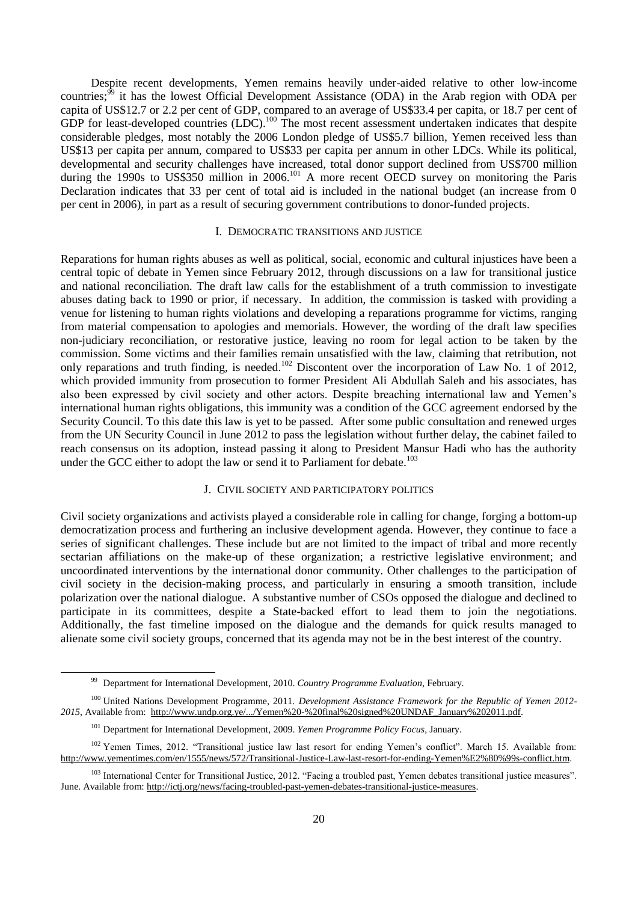Despite recent developments, Yemen remains heavily under-aided relative to other low-income countries;<sup>99</sup> it has the lowest Official Development Assistance (ODA) in the Arab region with ODA per capita of US\$12.7 or 2.2 per cent of GDP, compared to an average of US\$33.4 per capita, or 18.7 per cent of GDP for least-developed countries  $(LDC)$ .<sup>100</sup> The most recent assessment undertaken indicates that despite considerable pledges, most notably the 2006 London pledge of US\$5.7 billion, Yemen received less than US\$13 per capita per annum, compared to US\$33 per capita per annum in other LDCs. While its political, developmental and security challenges have increased, total donor support declined from US\$700 million during the 1990s to US\$350 million in 2006.<sup>101</sup> A more recent OECD survey on monitoring the Paris Declaration indicates that 33 per cent of total aid is included in the national budget (an increase from 0 per cent in 2006), in part as a result of securing government contributions to donor-funded projects.

#### I. DEMOCRATIC TRANSITIONS AND JUSTICE

Reparations for human rights abuses as well as political, social, economic and cultural injustices have been a central topic of debate in Yemen since February 2012, through discussions on a law for transitional justice and national reconciliation. The draft law calls for the establishment of a truth commission to investigate abuses dating back to 1990 or prior, if necessary. In addition, the commission is tasked with providing a venue for listening to human rights violations and developing a reparations programme for victims, ranging from material compensation to apologies and memorials. However, the wording of the draft law specifies non-judiciary reconciliation, or restorative justice, leaving no room for legal action to be taken by the commission. Some victims and their families remain unsatisfied with the law, claiming that retribution, not only reparations and truth finding, is needed.<sup>102</sup> Discontent over the incorporation of Law No. 1 of 2012, which provided immunity from prosecution to former President Ali Abdullah Saleh and his associates, has also been expressed by civil society and other actors. Despite breaching international law and Yemen's international human rights obligations, this immunity was a condition of the GCC agreement endorsed by the Security Council. To this date this law is yet to be passed. After some public consultation and renewed urges from the UN Security Council in June 2012 to pass the legislation without further delay, the cabinet failed to reach consensus on its adoption, instead passing it along to President Mansur Hadi who has the authority under the GCC either to adopt the law or send it to Parliament for debate.<sup>103</sup>

#### J. CIVIL SOCIETY AND PARTICIPATORY POLITICS

Civil society organizations and activists played a considerable role in calling for change, forging a bottom-up democratization process and furthering an inclusive development agenda. However, they continue to face a series of significant challenges. These include but are not limited to the impact of tribal and more recently sectarian affiliations on the make-up of these organization; a restrictive legislative environment; and uncoordinated interventions by the international donor community. Other challenges to the participation of civil society in the decision-making process, and particularly in ensuring a smooth transition, include polarization over the national dialogue. A substantive number of CSOs opposed the dialogue and declined to participate in its committees, despite a State-backed effort to lead them to join the negotiations. Additionally, the fast timeline imposed on the dialogue and the demands for quick results managed to alienate some civil society groups, concerned that its agenda may not be in the best interest of the country.

<sup>99</sup> Department for International Development, 2010. *Country Programme Evaluation*, February.

<sup>100</sup> United Nations Development Programme, 2011. *Development Assistance Framework for the Republic of Yemen 2012- 2015*, Available from: http:/[/www.undp.org.ye/.../Yemen%20-%](http://www.undp.org.ye/.../Yemen%20-)20final%20signed%20UNDAF\_January%202011.pdf.

<sup>101</sup> Department for International Development, 2009. *Yemen Programme Policy Focus*, January.

<sup>&</sup>lt;sup>102</sup> Yemen Times, 2012. "Transitional justice law last resort for ending Yemen's conflict". March 15. Available from: http://www.yementimes.com/en/1555/news/572/Transitional-Justice-Law-last-resort-for-ending-Yemen%E2%80%99s-conflict.htm.

<sup>&</sup>lt;sup>103</sup> International Center for Transitional Justice, 2012. "Facing a troubled past, Yemen debates transitional justice measures". June. Available from: http://ictj.org/news/facing-troubled-past-yemen-debates-transitional-justice-measures.